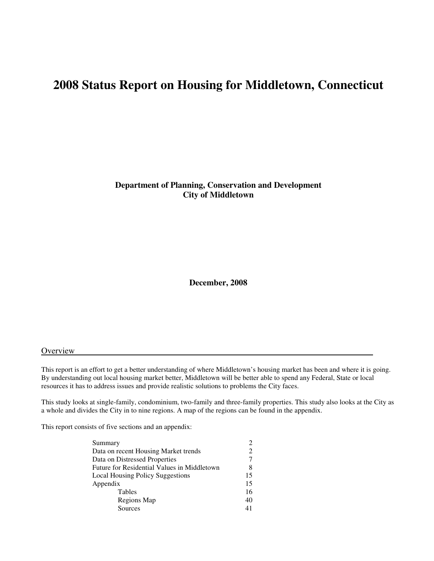**Department of Planning, Conservation and Development City of Middletown** 

**December, 2008** 

#### **Overview**

This report is an effort to get a better understanding of where Middletown's housing market has been and where it is going. By understanding out local housing market better, Middletown will be better able to spend any Federal, State or local resources it has to address issues and provide realistic solutions to problems the City faces.

This study looks at single-family, condominium, two-family and three-family properties. This study also looks at the City as a whole and divides the City in to nine regions. A map of the regions can be found in the appendix.

This report consists of five sections and an appendix:

| Summary                                     |    |
|---------------------------------------------|----|
| Data on recent Housing Market trends        |    |
| Data on Distressed Properties               |    |
| Future for Residential Values in Middletown |    |
| <b>Local Housing Policy Suggestions</b>     | 15 |
| Appendix                                    | 15 |
| Tables                                      | 16 |
| Regions Map                                 | 40 |
| Sources                                     | 41 |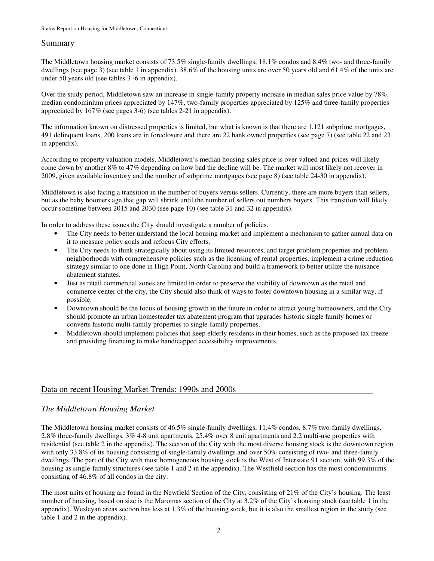### Summary

The Middletown housing market consists of 73.5% single-family dwellings, 18.1% condos and 8.4% two- and three-family dwellings (see page 3) (see table 1 in appendix). 38.6% of the housing units are over 50 years old and 61.4% of the units are under 50 years old (see tables 3 -6 in appendix).

Over the study period, Middletown saw an increase in single-family property increase in median sales price value by 78%, median condominium prices appreciated by 147%, two-family properties appreciated by 125% and three-family properties appreciated by 167% (see pages 3-6) (see tables 2-21 in appendix).

The information known on distressed properties is limited, but what is known is that there are 1,121 subprime mortgages, 491 delinquent loans, 200 loans are in foreclosure and there are 22 bank owned properties (see page 7) (see table 22 and 23 in appendix).

According to property valuation models, Middletown's median housing sales price is over valued and prices will likely come down by another 8% to 47% depending on how bad the decline will be. The market will most likely not recover in 2009, given available inventory and the number of subprime mortgages (see page 8) (see table 24-30 in appendix).

Middletown is also facing a transition in the number of buyers versus sellers. Currently, there are more buyers than sellers, but as the baby boomers age that gap will shrink until the number of sellers out numbers buyers. This transition will likely occur sometime between 2015 and 2030 (see page 10) (see table 31 and 32 in appendix).

In order to address these issues the City should investigate a number of policies.

- The City needs to better understand the local housing market and implement a mechanism to gather annual data on it to measure policy goals and refocus City efforts.
- The City needs to think strategically about using its limited resources, and target problem properties and problem neighborhoods with comprehensive policies such as the licensing of rental properties, implement a crime reduction strategy similar to one done in High Point, North Carolina and build a framework to better utilize the nuisance abatement statutes.
- Just as retail commercial zones are limited in order to preserve the viability of downtown as the retail and commerce center of the city, the City should also think of ways to foster downtown housing in a similar way, if possible.
- Downtown should be the focus of housing growth in the future in order to attract young homeowners, and the City should promote an urban homesteader tax abatement program that upgrades historic single family homes or converts historic multi-family properties to single-family properties.
- Middletown should implement policies that keep elderly residents in their homes, such as the proposed tax freeze and providing financing to make handicapped accessibility improvements.

# Data on recent Housing Market Trends: 1990s and 2000s

# *The Middletown Housing Market*

The Middletown housing market consists of 46.5% single-family dwellings, 11.4% condos, 8.7% two-family dwellings, 2.8% three-family dwellings, 3% 4-8 unit apartments, 25.4% over 8 unit apartments and 2.2 multi-use properties with residential (see table 2 in the appendix). The section of the City with the most diverse housing stock is the downtown region with only 33.8% of its housing consisting of single-family dwellings and over 50% consisting of two- and three-family dwellings. The part of the City with most homogeneous housing stock is the West of Interstate 91 section, with 99.3% of the housing as single-family structures (see table 1 and 2 in the appendix). The Westfield section has the most condominiums consisting of 46.8% of all condos in the city.

The most units of housing are found in the Newfield Section of the City, consisting of 21% of the City's housing. The least number of housing, based on size is the Maromas section of the City at 3.2% of the City's housing stock (see table 1 in the appendix). Wesleyan areas section has less at 1.3% of the housing stock, but it is also the smallest region in the study (see table 1 and 2 in the appendix).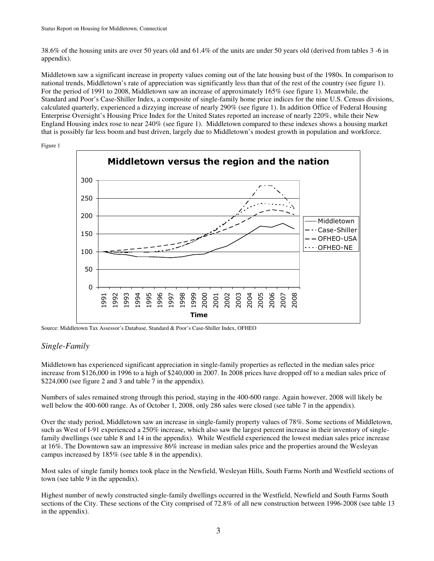38.6% of the housing units are over 50 years old and 61.4% of the units are under 50 years old (derived from tables 3 -6 in appendix).

Middletown saw a significant increase in property values coming out of the late housing bust of the 1980s. In comparison to national trends, Middletown's rate of appreciation was significantly less than that of the rest of the country (see figure 1). For the period of 1991 to 2008, Middletown saw an increase of approximately 165% (see figure 1). Meanwhile, the Standard and Poor's Case-Shiller Index, a composite of single-family home price indices for the nine U.S. Census divisions, calculated quarterly, experienced a dizzying increase of nearly 290% (see figure 1). In addition Office of Federal Housing Enterprise Oversight's Housing Price Index for the United States reported an increase of nearly 220%, while their New England Housing index rose to near 240% (see figure 1). Middletown compared to these indexes shows a housing market that is possibly far less boom and bust driven, largely due to Middletown's modest growth in population and workforce.



Figure 1

Source: Middletown Tax Assessor's Database, Standard & Poor's Case-Shiller Index, OFHEO

# *Single-Family*

Middletown has experienced significant appreciation in single-family properties as reflected in the median sales price increase from \$126,000 in 1996 to a high of \$240,000 in 2007. In 2008 prices have dropped off to a median sales price of \$224,000 (see figure 2 and 3 and table 7 in the appendix).

Numbers of sales remained strong through this period, staying in the 400-600 range. Again however, 2008 will likely be well below the 400-600 range. As of October 1, 2008, only 286 sales were closed (see table 7 in the appendix).

Over the study period, Middletown saw an increase in single-family property values of 78%. Some sections of Middletown, such as West of I-91 experienced a 250% increase, which also saw the largest percent increase in their inventory of singlefamily dwellings (see table 8 and 14 in the appendix). While Westfield experienced the lowest median sales price increase at 16%. The Downtown saw an impressive 86% increase in median sales price and the properties around the Wesleyan campus increased by 185% (see table 8 in the appendix).

Most sales of single family homes took place in the Newfield, Wesleyan Hills, South Farms North and Westfield sections of town (see table 9 in the appendix).

Highest number of newly constructed single-family dwellings occurred in the Westfield, Newfield and South Farms South sections of the City. These sections of the City comprised of 72.8% of all new construction between 1996-2008 (see table 13 in the appendix).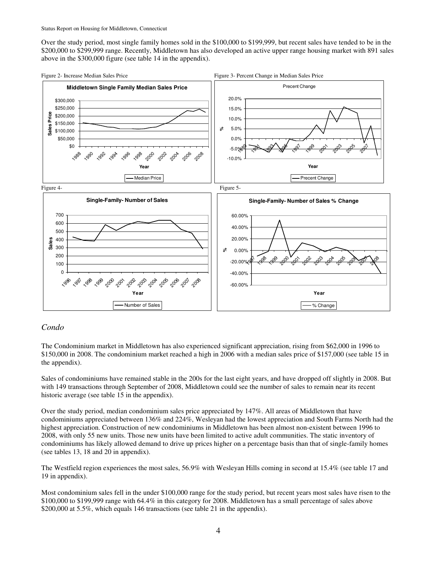Over the study period, most single family homes sold in the \$100,000 to \$199,999, but recent sales have tended to be in the \$200,000 to \$299,999 range. Recently, Middletown has also developed an active upper range housing market with 891 sales above in the \$300,000 figure (see table 14 in the appendix).



# *Condo*

The Condominium market in Middletown has also experienced significant appreciation, rising from \$62,000 in 1996 to \$150,000 in 2008. The condominium market reached a high in 2006 with a median sales price of \$157,000 (see table 15 in the appendix).

Sales of condominiums have remained stable in the 200s for the last eight years, and have dropped off slightly in 2008. But with 149 transactions through September of 2008, Middletown could see the number of sales to remain near its recent historic average (see table 15 in the appendix).

Over the study period, median condominium sales price appreciated by 147%. All areas of Middletown that have condominiums appreciated between 136% and 224%, Wesleyan had the lowest appreciation and South Farms North had the highest appreciation. Construction of new condominiums in Middletown has been almost non-existent between 1996 to 2008, with only 55 new units. Those new units have been limited to active adult communities. The static inventory of condominiums has likely allowed demand to drive up prices higher on a percentage basis than that of single-family homes (see tables 13, 18 and 20 in appendix).

The Westfield region experiences the most sales, 56.9% with Wesleyan Hills coming in second at 15.4% (see table 17 and 19 in appendix).

Most condominium sales fell in the under \$100,000 range for the study period, but recent years most sales have risen to the \$100,000 to \$199,999 range with 64.4% in this category for 2008. Middletown has a small percentage of sales above \$200,000 at 5.5%, which equals 146 transactions (see table 21 in the appendix).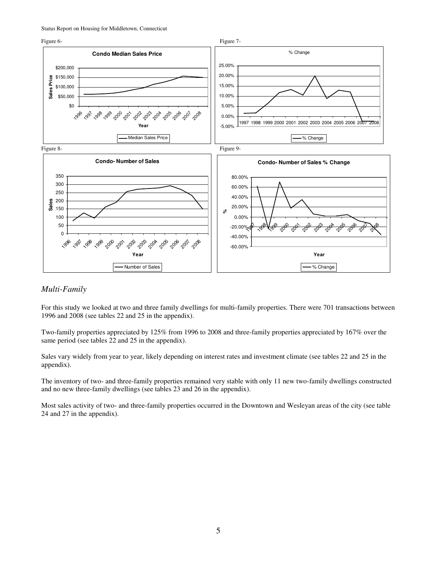

# *Multi-Family*

For this study we looked at two and three family dwellings for multi-family properties. There were 701 transactions between 1996 and 2008 (see tables 22 and 25 in the appendix).

Two-family properties appreciated by 125% from 1996 to 2008 and three-family properties appreciated by 167% over the same period (see tables 22 and 25 in the appendix).

Sales vary widely from year to year, likely depending on interest rates and investment climate (see tables 22 and 25 in the appendix).

The inventory of two- and three-family properties remained very stable with only 11 new two-family dwellings constructed and no new three-family dwellings (see tables 23 and 26 in the appendix).

Most sales activity of two- and three-family properties occurred in the Downtown and Wesleyan areas of the city (see table 24 and 27 in the appendix).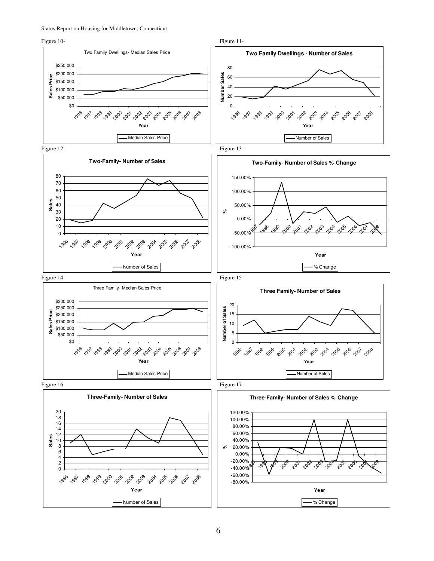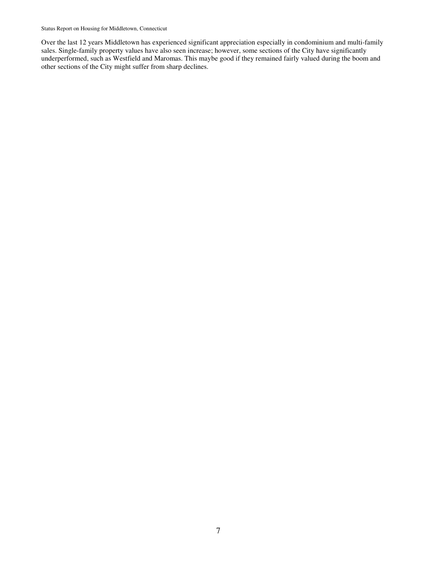Over the last 12 years Middletown has experienced significant appreciation especially in condominium and multi-family sales. Single-family property values have also seen increase; however, some sections of the City have significantly underperformed, such as Westfield and Maromas. This maybe good if they remained fairly valued during the boom and other sections of the City might suffer from sharp declines.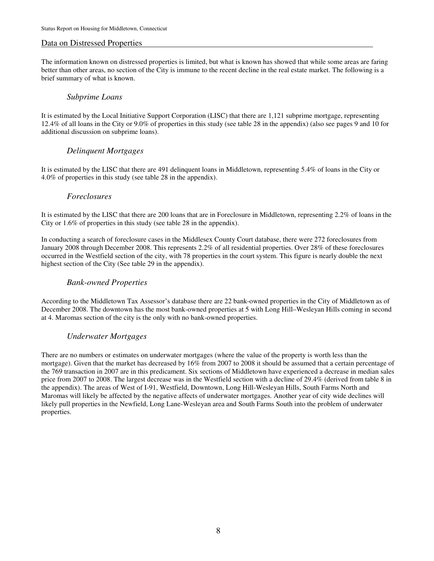### Data on Distressed Properties

The information known on distressed properties is limited, but what is known has showed that while some areas are faring better than other areas, no section of the City is immune to the recent decline in the real estate market. The following is a brief summary of what is known.

### *Subprime Loans*

It is estimated by the Local Initiative Support Corporation (LISC) that there are 1,121 subprime mortgage, representing 12.4% of all loans in the City or 9.0% of properties in this study (see table 28 in the appendix) (also see pages 9 and 10 for additional discussion on subprime loans).

# *Delinquent Mortgages*

It is estimated by the LISC that there are 491 delinquent loans in Middletown, representing 5.4% of loans in the City or 4.0% of properties in this study (see table 28 in the appendix).

### *Foreclosures*

It is estimated by the LISC that there are 200 loans that are in Foreclosure in Middletown, representing 2.2% of loans in the City or 1.6% of properties in this study (see table 28 in the appendix).

In conducting a search of foreclosure cases in the Middlesex County Court database, there were 272 foreclosures from January 2008 through December 2008. This represents 2.2% of all residential properties. Over 28% of these foreclosures occurred in the Westfield section of the city, with 78 properties in the court system. This figure is nearly double the next highest section of the City (See table 29 in the appendix).

### *Bank-owned Properties*

According to the Middletown Tax Assessor's database there are 22 bank-owned properties in the City of Middletown as of December 2008. The downtown has the most bank-owned properties at 5 with Long Hill–Wesleyan Hills coming in second at 4. Maromas section of the city is the only with no bank-owned properties.

# *Underwater Mortgages*

There are no numbers or estimates on underwater mortgages (where the value of the property is worth less than the mortgage). Given that the market has decreased by 16% from 2007 to 2008 it should be assumed that a certain percentage of the 769 transaction in 2007 are in this predicament. Six sections of Middletown have experienced a decrease in median sales price from 2007 to 2008. The largest decrease was in the Westfield section with a decline of 29.4% (derived from table 8 in the appendix). The areas of West of I-91, Westfield, Downtown, Long Hill-Wesleyan Hills, South Farms North and Maromas will likely be affected by the negative affects of underwater mortgages. Another year of city wide declines will likely pull properties in the Newfield, Long Lane-Wesleyan area and South Farms South into the problem of underwater properties.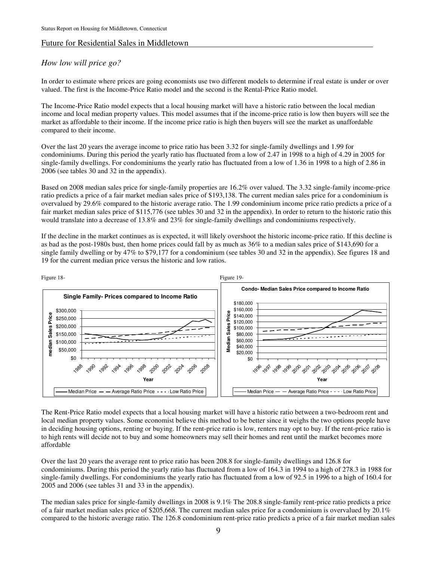# Future for Residential Sales in Middletown

# *How low will price go?*

In order to estimate where prices are going economists use two different models to determine if real estate is under or over valued. The first is the Income-Price Ratio model and the second is the Rental-Price Ratio model.

The Income-Price Ratio model expects that a local housing market will have a historic ratio between the local median income and local median property values. This model assumes that if the income-price ratio is low then buyers will see the market as affordable to their income. If the income price ratio is high then buyers will see the market as unaffordable compared to their income.

Over the last 20 years the average income to price ratio has been 3.32 for single-family dwellings and 1.99 for condominiums. During this period the yearly ratio has fluctuated from a low of 2.47 in 1998 to a high of 4.29 in 2005 for single-family dwellings. For condominiums the yearly ratio has fluctuated from a low of 1.36 in 1998 to a high of 2.86 in 2006 (see tables 30 and 32 in the appendix).

Based on 2008 median sales price for single-family properties are 16.2% over valued. The 3.32 single-family income-price ratio predicts a price of a fair market median sales price of \$193,138. The current median sales price for a condominium is overvalued by 29.6% compared to the historic average ratio. The 1.99 condominium income price ratio predicts a price of a fair market median sales price of \$115,776 (see tables 30 and 32 in the appendix). In order to return to the historic ratio this would translate into a decrease of 13.8% and 23% for single-family dwellings and condominiums respectively.

If the decline in the market continues as is expected, it will likely overshoot the historic income-price ratio. If this decline is as bad as the post-1980s bust, then home prices could fall by as much as 36% to a median sales price of \$143,690 for a single family dwelling or by 47% to \$79,177 for a condominium (see tables 30 and 32 in the appendix). See figures 18 and 19 for the current median price versus the historic and low ratios.



The Rent-Price Ratio model expects that a local housing market will have a historic ratio between a two-bedroom rent and local median property values. Some economist believe this method to be better since it weighs the two options people have in deciding housing options, renting or buying. If the rent-price ratio is low, renters may opt to buy. If the rent-price ratio is to high rents will decide not to buy and some homeowners may sell their homes and rent until the market becomes more affordable

Over the last 20 years the average rent to price ratio has been 208.8 for single-family dwellings and 126.8 for condominiums. During this period the yearly ratio has fluctuated from a low of 164.3 in 1994 to a high of 278.3 in 1988 for single-family dwellings. For condominiums the yearly ratio has fluctuated from a low of 92.5 in 1996 to a high of 160.4 for 2005 and 2006 (see tables 31 and 33 in the appendix).

The median sales price for single-family dwellings in 2008 is 9.1% The 208.8 single-family rent-price ratio predicts a price of a fair market median sales price of \$205,668. The current median sales price for a condominium is overvalued by 20.1% compared to the historic average ratio. The 126.8 condominium rent-price ratio predicts a price of a fair market median sales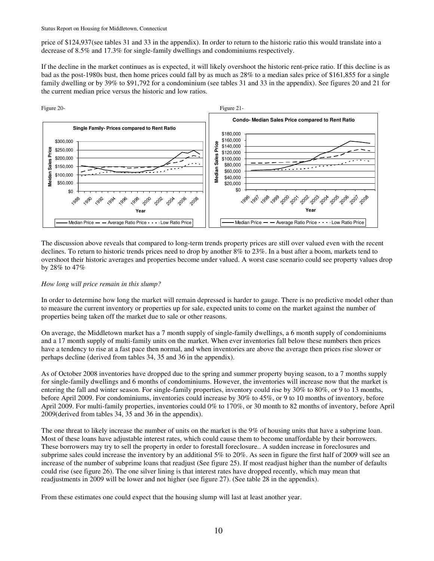price of \$124,937(see tables 31 and 33 in the appendix). In order to return to the historic ratio this would translate into a decrease of 8.5% and 17.3% for single-family dwellings and condominiums respectively.

If the decline in the market continues as is expected, it will likely overshoot the historic rent-price ratio. If this decline is as bad as the post-1980s bust, then home prices could fall by as much as 28% to a median sales price of \$161,855 for a single family dwelling or by 39% to \$91,792 for a condominium (see tables 31 and 33 in the appendix). See figures 20 and 21 for the current median price versus the historic and low ratios.



The discussion above reveals that compared to long-term trends property prices are still over valued even with the recent declines. To return to historic trends prices need to drop by another 8% to 23%. In a bust after a boom, markets tend to overshoot their historic averages and properties become under valued. A worst case scenario could see property values drop by 28% to 47%

### *How long will price remain in this slump?*

In order to determine how long the market will remain depressed is harder to gauge. There is no predictive model other than to measure the current inventory or properties up for sale, expected units to come on the market against the number of properties being taken off the market due to sale or other reasons.

On average, the Middletown market has a 7 month supply of single-family dwellings, a 6 month supply of condominiums and a 17 month supply of multi-family units on the market. When ever inventories fall below these numbers then prices have a tendency to rise at a fast pace then normal, and when inventories are above the average then prices rise slower or perhaps decline (derived from tables 34, 35 and 36 in the appendix).

As of October 2008 inventories have dropped due to the spring and summer property buying season, to a 7 months supply for single-family dwellings and 6 months of condominiums. However, the inventories will increase now that the market is entering the fall and winter season. For single-family properties, inventory could rise by 30% to 80%, or 9 to 13 months, before April 2009. For condominiums, inventories could increase by 30% to 45%, or 9 to 10 months of inventory, before April 2009. For multi-family properties, inventories could 0% to 170%, or 30 month to 82 months of inventory, before April 2009(derived from tables 34, 35 and 36 in the appendix).

The one threat to likely increase the number of units on the market is the 9% of housing units that have a subprime loan. Most of these loans have adjustable interest rates, which could cause them to become unaffordable by their borrowers. These borrowers may try to sell the property in order to forestall foreclosure.. A sudden increase in foreclosures and subprime sales could increase the inventory by an additional 5% to 20%. As seen in figure the first half of 2009 will see an increase of the number of subprime loans that readjust (See figure 25). If most readjust higher than the number of defaults could rise (see figure 26). The one silver lining is that interest rates have dropped recently, which may mean that readjustments in 2009 will be lower and not higher (see figure 27). (See table 28 in the appendix).

From these estimates one could expect that the housing slump will last at least another year.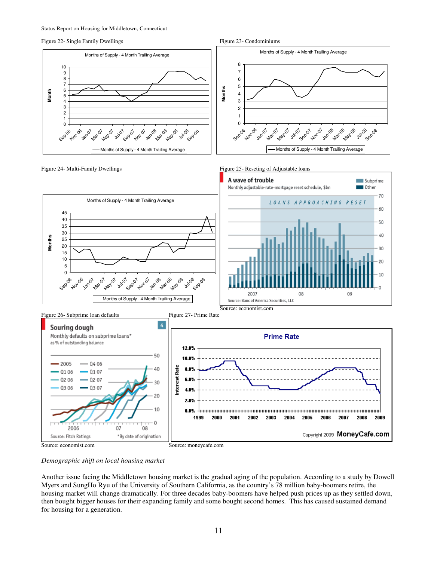Figure 22- Single Family Dwellings Figure 23- Condominiums Figure 23- Condominiums











*Demographic shift on local housing market* 

Another issue facing the Middletown housing market is the gradual aging of the population. According to a study by Dowell Myers and SungHo Ryu of the University of Southern California, as the country's 78 million baby-boomers retire, the housing market will change dramatically. For three decades baby-boomers have helped push prices up as they settled down, then bought bigger houses for their expanding family and some bought second homes. This has caused sustained demand for housing for a generation.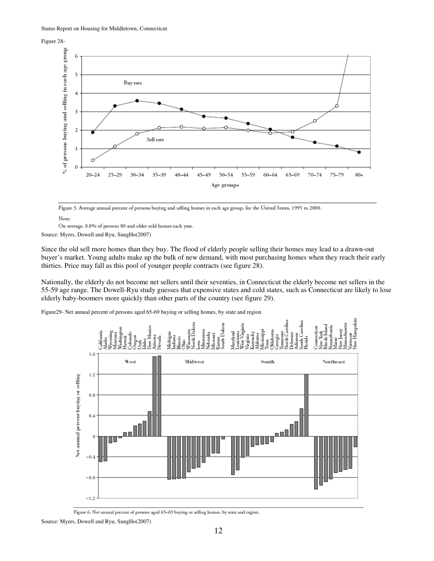Figure 28-



Figure 3. Average annual percent of persons buying and selling homes in each age group, for the United States, 1995 to 2000.

Note:

On average, 8.8% of persons 80 and older sold homes each year.

Source: Myers, Dowell and Ryu, SungHo(2007)

Since the old sell more homes than they buy. The flood of elderly people selling their homes may lead to a drawn-out buyer's market. Young adults make up the bulk of new demand, with most purchasing homes when they reach their early thirties. Price may fall as this pool of younger people contracts (see figure 28).

Nationally, the elderly do not become net sellers until their seventies, in Connecticut the elderly become net sellers in the 55-59 age range. The Dowell-Ryu study guesses that expensive states and cold states, such as Connecticut are likely to lose elderly baby-boomers more quickly than other parts of the country (see figure 29).

Figure29- Net annual percent of persons aged 65-69 buying or selling homes, by state and region



Figure 6. Net annual percent of persons aged 65-69 buying or selling homes, by state and region.

Source: Myers, Dowell and Ryu, SungHo(2007)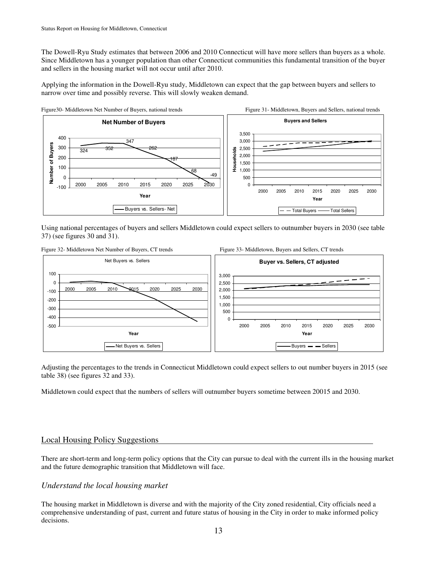The Dowell-Ryu Study estimates that between 2006 and 2010 Connecticut will have more sellers than buyers as a whole. Since Middletown has a younger population than other Connecticut communities this fundamental transition of the buyer and sellers in the housing market will not occur until after 2010.

Applying the information in the Dowell-Ryu study, Middletown can expect that the gap between buyers and sellers to narrow over time and possibly reverse. This will slowly weaken demand.



Using national percentages of buyers and sellers Middletown could expect sellers to outnumber buyers in 2030 (see table 37) (see figures 30 and 31).



Adjusting the percentages to the trends in Connecticut Middletown could expect sellers to out number buyers in 2015 (see table 38) (see figures 32 and 33).

Middletown could expect that the numbers of sellers will outnumber buyers sometime between 20015 and 2030.

# Local Housing Policy Suggestions

There are short-term and long-term policy options that the City can pursue to deal with the current ills in the housing market and the future demographic transition that Middletown will face.

# *Understand the local housing market*

The housing market in Middletown is diverse and with the majority of the City zoned residential, City officials need a comprehensive understanding of past, current and future status of housing in the City in order to make informed policy decisions.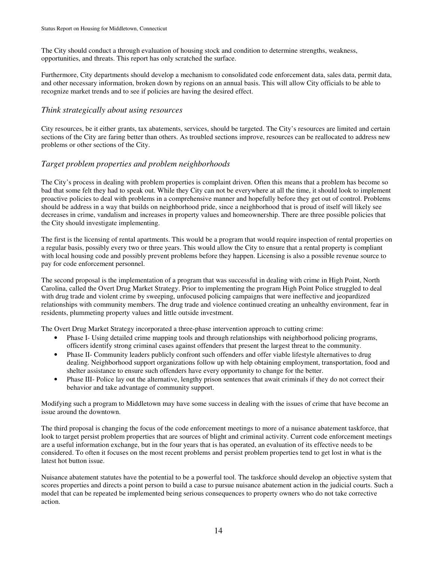The City should conduct a through evaluation of housing stock and condition to determine strengths, weakness, opportunities, and threats. This report has only scratched the surface.

Furthermore, City departments should develop a mechanism to consolidated code enforcement data, sales data, permit data, and other necessary information, broken down by regions on an annual basis. This will allow City officials to be able to recognize market trends and to see if policies are having the desired effect.

# *Think strategically about using resources*

City resources, be it either grants, tax abatements, services, should be targeted. The City's resources are limited and certain sections of the City are faring better than others. As troubled sections improve, resources can be reallocated to address new problems or other sections of the City.

# *Target problem properties and problem neighborhoods*

The City's process in dealing with problem properties is complaint driven. Often this means that a problem has become so bad that some felt they had to speak out. While they City can not be everywhere at all the time, it should look to implement proactive policies to deal with problems in a comprehensive manner and hopefully before they get out of control. Problems should be address in a way that builds on neighborhood pride, since a neighborhood that is proud of itself will likely see decreases in crime, vandalism and increases in property values and homeownership. There are three possible policies that the City should investigate implementing.

The first is the licensing of rental apartments. This would be a program that would require inspection of rental properties on a regular basis, possibly every two or three years. This would allow the City to ensure that a rental property is compliant with local housing code and possibly prevent problems before they happen. Licensing is also a possible revenue source to pay for code enforcement personnel.

The second proposal is the implementation of a program that was successful in dealing with crime in High Point, North Carolina, called the Overt Drug Market Strategy. Prior to implementing the program High Point Police struggled to deal with drug trade and violent crime by sweeping, unfocused policing campaigns that were ineffective and jeopardized relationships with community members. The drug trade and violence continued creating an unhealthy environment, fear in residents, plummeting property values and little outside investment.

The Overt Drug Market Strategy incorporated a three-phase intervention approach to cutting crime:

- Phase I- Using detailed crime mapping tools and through relationships with neighborhood policing programs, officers identify strong criminal cases against offenders that present the largest threat to the community.
- Phase II- Community leaders publicly confront such offenders and offer viable lifestyle alternatives to drug dealing. Neighborhood support organizations follow up with help obtaining employment, transportation, food and shelter assistance to ensure such offenders have every opportunity to change for the better.
- Phase III- Police lay out the alternative, lengthy prison sentences that await criminals if they do not correct their behavior and take advantage of community support.

Modifying such a program to Middletown may have some success in dealing with the issues of crime that have become an issue around the downtown.

The third proposal is changing the focus of the code enforcement meetings to more of a nuisance abatement taskforce, that look to target persist problem properties that are sources of blight and criminal activity. Current code enforcement meetings are a useful information exchange, but in the four years that is has operated, an evaluation of its effective needs to be considered. To often it focuses on the most recent problems and persist problem properties tend to get lost in what is the latest hot button issue.

Nuisance abatement statutes have the potential to be a powerful tool. The taskforce should develop an objective system that scores properties and directs a point person to build a case to pursue nuisance abatement action in the judicial courts. Such a model that can be repeated be implemented being serious consequences to property owners who do not take corrective action.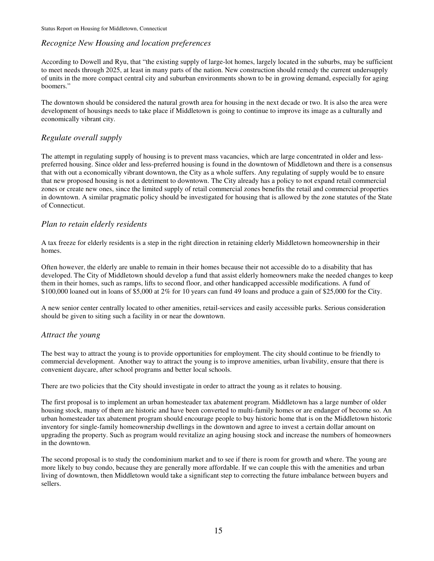# *Recognize New Housing and location preferences*

According to Dowell and Ryu, that "the existing supply of large-lot homes, largely located in the suburbs, may be sufficient to meet needs through 2025, at least in many parts of the nation. New construction should remedy the current undersupply of units in the more compact central city and suburban environments shown to be in growing demand, especially for aging boomers."

The downtown should be considered the natural growth area for housing in the next decade or two. It is also the area were development of housings needs to take place if Middletown is going to continue to improve its image as a culturally and economically vibrant city.

# *Regulate overall supply*

The attempt in regulating supply of housing is to prevent mass vacancies, which are large concentrated in older and lesspreferred housing. Since older and less-preferred housing is found in the downtown of Middletown and there is a consensus that with out a economically vibrant downtown, the City as a whole suffers. Any regulating of supply would be to ensure that new proposed housing is not a detriment to downtown. The City already has a policy to not expand retail commercial zones or create new ones, since the limited supply of retail commercial zones benefits the retail and commercial properties in downtown. A similar pragmatic policy should be investigated for housing that is allowed by the zone statutes of the State of Connecticut.

# *Plan to retain elderly residents*

A tax freeze for elderly residents is a step in the right direction in retaining elderly Middletown homeownership in their homes.

Often however, the elderly are unable to remain in their homes because their not accessible do to a disability that has developed. The City of Middletown should develop a fund that assist elderly homeowners make the needed changes to keep them in their homes, such as ramps, lifts to second floor, and other handicapped accessible modifications. A fund of \$100,000 loaned out in loans of \$5,000 at 2% for 10 years can fund 49 loans and produce a gain of \$25,000 for the City.

A new senior center centrally located to other amenities, retail-services and easily accessible parks. Serious consideration should be given to siting such a facility in or near the downtown.

# *Attract the young*

The best way to attract the young is to provide opportunities for employment. The city should continue to be friendly to commercial development. Another way to attract the young is to improve amenities, urban livability, ensure that there is convenient daycare, after school programs and better local schools.

There are two policies that the City should investigate in order to attract the young as it relates to housing.

The first proposal is to implement an urban homesteader tax abatement program. Middletown has a large number of older housing stock, many of them are historic and have been converted to multi-family homes or are endanger of become so. An urban homesteader tax abatement program should encourage people to buy historic home that is on the Middletown historic inventory for single-family homeownership dwellings in the downtown and agree to invest a certain dollar amount on upgrading the property. Such as program would revitalize an aging housing stock and increase the numbers of homeowners in the downtown.

The second proposal is to study the condominium market and to see if there is room for growth and where. The young are more likely to buy condo, because they are generally more affordable. If we can couple this with the amenities and urban living of downtown, then Middletown would take a significant step to correcting the future imbalance between buyers and sellers.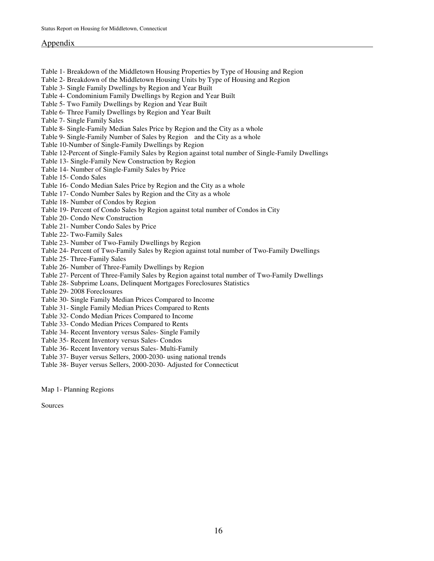### Appendix

- Table 1- Breakdown of the Middletown Housing Properties by Type of Housing and Region
- Table 2- Breakdown of the Middletown Housing Units by Type of Housing and Region
- Table 3- Single Family Dwellings by Region and Year Built
- Table 4- Condominium Family Dwellings by Region and Year Built
- Table 5- Two Family Dwellings by Region and Year Built
- Table 6- Three Family Dwellings by Region and Year Built
- Table 7- Single Family Sales
- Table 8- Single-Family Median Sales Price by Region and the City as a whole
- Table 9- Single-Family Number of Sales by Region and the City as a whole
- Table 10-Number of Single-Family Dwellings by Region
- Table 12-Percent of Single-Family Sales by Region against total number of Single-Family Dwellings
- Table 13- Single-Family New Construction by Region
- Table 14- Number of Single-Family Sales by Price
- Table 15- Condo Sales
- Table 16- Condo Median Sales Price by Region and the City as a whole
- Table 17- Condo Number Sales by Region and the City as a whole
- Table 18- Number of Condos by Region
- Table 19- Percent of Condo Sales by Region against total number of Condos in City
- Table 20- Condo New Construction
- Table 21- Number Condo Sales by Price
- Table 22- Two-Family Sales
- Table 23- Number of Two-Family Dwellings by Region
- Table 24- Percent of Two-Family Sales by Region against total number of Two-Family Dwellings
- Table 25- Three-Family Sales
- Table 26- Number of Three-Family Dwellings by Region
- Table 27- Percent of Three-Family Sales by Region against total number of Two-Family Dwellings
- Table 28- Subprime Loans, Delinquent Mortgages Foreclosures Statistics
- Table 29- 2008 Foreclosures
- Table 30- Single Family Median Prices Compared to Income
- Table 31- Single Family Median Prices Compared to Rents
- Table 32- Condo Median Prices Compared to Income
- Table 33- Condo Median Prices Compared to Rents
- Table 34- Recent Inventory versus Sales- Single Family
- Table 35- Recent Inventory versus Sales- Condos
- Table 36- Recent Inventory versus Sales- Multi-Family
- Table 37- Buyer versus Sellers, 2000-2030- using national trends
- Table 38- Buyer versus Sellers, 2000-2030- Adjusted for Connecticut

Map 1- Planning Regions

Sources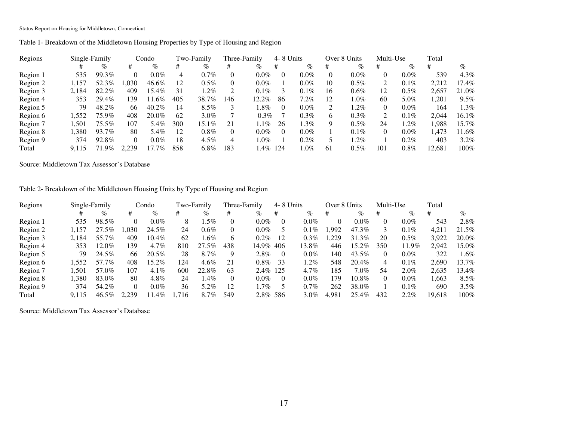Table 1- Breakdown of the Middletown Housing Properties by Type of Housing and Region

| Regions  |       | Single-Family |          | Condo   |     | Two-Family |     | Three-Family | 4-8 Units |         |     | Over 8 Units | Multi-Use |         | Total  |         |
|----------|-------|---------------|----------|---------|-----|------------|-----|--------------|-----------|---------|-----|--------------|-----------|---------|--------|---------|
|          |       | $\%$          | #        | %       | #   | $\%$       | #   | %            | #         | %       | #   | %            | #         | $\%$    | #      | %       |
| Region 1 | 535   | 99.3%         | 0        | $0.0\%$ | 4   | $0.7\%$    |     | $0.0\%$      | 0         | $0.0\%$ |     | $0.0\%$      |           | $0.0\%$ | 539    | $4.3\%$ |
| Region 2 | l.157 | 52.3%         | .030     | 46.6%   | 12  | $0.5\%$    |     | $0.0\%$      |           | $0.0\%$ | 10  | $0.5\%$      |           | $0.1\%$ | 2,212  | 17.4%   |
| Region 3 | 2.184 | 82.2%         | 409      | 15.4%   | 31  | $1.2\%$    |     | $0.1\%$      |           | $0.1\%$ | 16  | $0.6\%$      | 12        | $0.5\%$ | 2.657  | 21.0%   |
| Region 4 | 353   | 29.4%         | 139      | 11.6%   | 405 | 38.7%      | 146 | 12.2%        | 86        | $7.2\%$ | 12  | $.0\%$       | 60        | 5.0%    | .201   | $9.5\%$ |
| Region 5 | 79    | 48.2%         | 66       | 40.2%   | 14  | $8.5\%$    |     | l.8%         | 0         | $0.0\%$ |     | $.2\%$       |           | $0.0\%$ | 164    | 1.3%    |
| Region 6 | 1.552 | 75.9%         | 408      | 20.0%   | 62  | $3.0\%$    |     | $0.3\%$      |           | $0.3\%$ | 6   | $0.3\%$      | 2         | $0.1\%$ | 2.044  | 16.1%   |
| Region 7 | .501  | 75.5%         | 107      | 5.4%    | 300 | 15.1%      | 21  | $1.1\%$      | 26        | $1.3\%$ | Q   | $0.5\%$      | 24        | $1.2\%$ | .988   | 15.7%   |
| Region 8 | 1,380 | 93.7%         | 80       | 5.4%    | 12  | $0.8\%$    |     | $0.0\%$      | 0         | $0.0\%$ |     | $0.1\%$      |           | $0.0\%$ | .473   | 11.6%   |
| Region 9 | 374   | 92.8%         | $\Omega$ | $0.0\%$ | 18  | $4.5\%$    |     | $1.0\%$      |           | $0.2\%$ |     | $.2\%$       |           | 0.2%    | 403    | $3.2\%$ |
| Total    | 9.115 | 71.9%         | 2.239    | 17.7%   | 858 | $6.8\%$    | 183 | 1.4% 124     |           | $.0\%$  | -61 | $0.5\%$      | 101       | 0.8%    | 12.681 | $100\%$ |

Source: Middletown Tax Assessor's Database

Table 2- Breakdown of the Middletown Housing Units by Type of Housing and Region

| Regions  | Single-Family |       |          | Condo   |      | Two-Family |              | Three-Family | 4-8 Units |         | Over 8 Units |          | Multi-Use |         | Total  |         |
|----------|---------------|-------|----------|---------|------|------------|--------------|--------------|-----------|---------|--------------|----------|-----------|---------|--------|---------|
|          |               | %     | #        | $\%$    | #    | %          | #            | %            | #         | %       | #            | $\%$     | #         | $\%$    | #      | %       |
| Region 1 | 535           | 98.5% | 0        | $0.0\%$ | 8    | $.5\%$     |              | $0.0\%$      | $\theta$  | $0.0\%$ | 0            | $0.0\%$  | $\theta$  | $0.0\%$ | 543    | $2.8\%$ |
| Region 2 | 1.157         | 27.5% | .030     | 24.5%   | 24   | $0.6\%$    |              | $0.0\%$      |           | $0.1\%$ | .992         | 47.3%    | 3         | $0.1\%$ | 4.211  | 21.5%   |
| Region 3 | 2.184         | 55.7% | 409      | 10.4%   | 62   | $.6\%$     | <sub>t</sub> | $0.2\%$      | 12        | $0.3\%$ | .229         | 31.3%    | 20        | $0.5\%$ | 3.922  | 20.0%   |
| Region 4 | 353           | 12.0% | 139      | $4.7\%$ | 810  | $27.5\%$   | 438          | 14.9% 406    |           | 13.8%   | 446          | $15.2\%$ | 350       | 11.9%   | 2.942  | 15.0%   |
| Region 5 | 79            | 24.5% | 66       | 20.5%   | 28   | 8.7%       | 9            | $2.8\%$      | $\theta$  | $0.0\%$ | 140          | 43.5%    | 0         | $0.0\%$ | 322    | .6%     |
| Region 6 | .552          | 57.7% | 408      | 15.2%   | 124  | $4.6\%$    | 21           | $0.8\%$      | 33        | $1.2\%$ | 548          | $20.4\%$ | 4         | $0.1\%$ | 2,690  | 13.7%   |
| Region 7 | .501          | 57.0% | 107      | $4.1\%$ | 600  | 22.8%      | 63           | 2.4% 125     |           | 4.7%    | 185          | $7.0\%$  | 54        | $2.0\%$ | 2,635  | 13.4%   |
| Region 8 | .380          | 83.0% | 80       | 4.8%    | 24   | $.4\%$     |              | $0.0\%$      | $\theta$  | $0.0\%$ | 179          | $10.8\%$ | $\Omega$  | $0.0\%$ | .663   | $8.5\%$ |
| Region 9 | 374           | 54.2% | $\Omega$ | $0.0\%$ | 36   | 5.2%       | 12           | $.7\%$       |           | 0.7%    | 262          | 38.0%    |           | $0.1\%$ | 690    | $3.5\%$ |
| Total    | 9.115         | 46.5% | 2.239    | 11.4%   | .716 | 8.7%       | 549          | 2.8% 586     |           | $3.0\%$ | 4.981        | 25.4%    | 432       | $2.2\%$ | 19.618 | $100\%$ |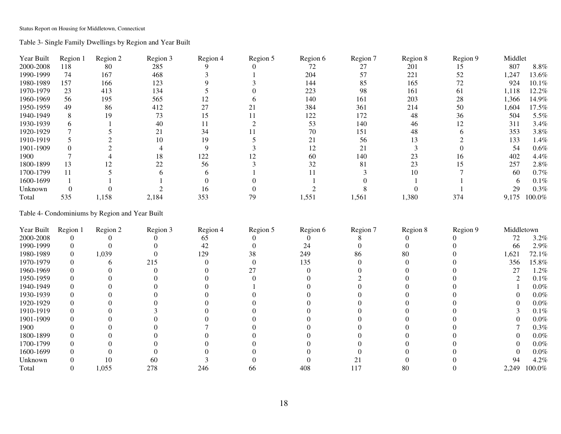Table 3- Single Family Dwellings by Region and Year Built

| Year Built | Region 1 | Region 2 | Region 3 | Region 4 | Region 5 | Region 6 | Region 7 | Region 8 | Region 9 | Middlet |         |
|------------|----------|----------|----------|----------|----------|----------|----------|----------|----------|---------|---------|
| 2000-2008  | 118      | 80       | 285      |          |          | 72       | 27       | 201      |          | 807     | $8.8\%$ |
| 1990-1999  | 74       | 167      | 468      |          |          | 204      | 57       | 221      | 52       | 1,247   | 13.6%   |
| 1980-1989  | 157      | 166      | 123      |          |          | 144      | 85       | 165      | 72       | 924     | 10.1%   |
| 1970-1979  | 23       | 413      | 134      |          |          | 223      | 98       | 161      | 61       | 1,118   | 12.2%   |
| 1960-1969  | 56       | 195      | 565      |          |          | 140      | 161      | 203      | 28       | 1,366   | 14.9%   |
| 1950-1959  | 49       | 86       | 412      |          |          | 384      | 361      | 214      | 50       | 1,604   | 17.5%   |
| 1940-1949  |          | 19       | 73       | 15       |          | 122      | 172      | 48       | 36       | 504     | 5.5%    |
| 1930-1939  |          |          | 40       |          |          | 53       | 140      | 46       |          | 311     | 3.4%    |
| 1920-1929  |          |          |          | 34       |          | 70       | 151      | 48       |          | 353     | 3.8%    |
| 1910-1919  |          |          | 10       | 19       |          | 21       | 56       |          |          | 133     | 1.4%    |
| 1901-1909  |          |          |          |          |          |          | 21       |          |          | 54      | $0.6\%$ |
| 1900       |          |          | 18       | 122      |          | 60       | 140      |          | Iб       | 402     | 4.4%    |
| 1800-1899  | 13       |          | 22       | 56       |          | 32       | 81       | 23       |          | 257     | 2.8%    |
| 1700-1799  | 11       |          |          |          |          |          |          | 10       |          | 60      | 0.7%    |
| 1600-1699  |          |          |          |          |          |          |          |          |          | h       | 0.1%    |
| Unknown    |          |          |          | 16       |          |          |          |          |          | 29      | $0.3\%$ |
| Total      | 535      | 1,158    | 2,184    | 353      | 79       | 1,551    | 1,561    | 1,380    | 374      | 9,175   | 100.0%  |

### Table 4- Condominiums by Region and Year Built

| Year Built | Region 1 | Region 2 | Region 3 | Region 4 | Region 5 | Region 6 | Region 7 | Region 8 | Region 9 | Middletown |         |
|------------|----------|----------|----------|----------|----------|----------|----------|----------|----------|------------|---------|
| 2000-2008  |          |          |          | 65       |          |          |          |          |          | 72         | 3.2%    |
| 1990-1999  |          |          |          | 42       |          | 24       |          |          |          | 66         | 2.9%    |
| 1980-1989  |          | 1,039    |          | 129      | 38       | 249      | 86       | 80       |          | 1,621      | 72.1%   |
| 1970-1979  |          |          | 215      |          |          | 135      |          |          |          | 356        | 15.8%   |
| 1960-1969  |          |          |          |          |          |          |          |          |          | 27         | 1.2%    |
| 1950-1959  |          |          |          |          |          |          |          |          |          |            | $0.1\%$ |
| 1940-1949  |          |          |          |          |          |          |          |          |          |            | $0.0\%$ |
| 1930-1939  |          |          |          |          |          |          |          |          |          |            | $0.0\%$ |
| 1920-1929  |          |          |          |          |          |          |          |          |          |            | $0.0\%$ |
| 1910-1919  |          |          |          |          |          |          |          |          |          |            | $0.1\%$ |
| 1901-1909  |          |          |          |          |          |          |          |          |          |            | $0.0\%$ |
| 1900       |          |          |          |          |          |          |          |          |          |            | $0.3\%$ |
| 1800-1899  |          |          |          |          |          |          |          |          |          |            | $0.0\%$ |
| 1700-1799  |          |          |          |          |          |          |          |          |          |            | $0.0\%$ |
| 1600-1699  |          |          |          |          |          |          |          |          |          |            | $0.0\%$ |
| Unknown    |          | 10       | 60       |          |          |          |          |          |          | 94         | 4.2%    |
| Total      |          | 1,055    | 278      | 246      | 66       | 408      | 117      | 80       |          | 2,249      | 100.0%  |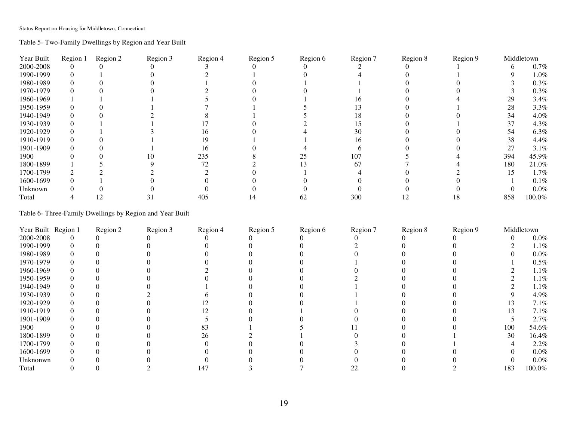Table 5- Two-Family Dwellings by Region and Year Built

| Year Built | Region 1 | Region 2 | Region 3 | Region 4 | Region 5 | Region 6 | Region 7 | Region 8 | Region 9 |     | Middletown |
|------------|----------|----------|----------|----------|----------|----------|----------|----------|----------|-----|------------|
| 2000-2008  |          |          |          |          |          |          |          |          |          |     | $0.7\%$    |
| 1990-1999  |          |          |          |          |          |          |          |          |          |     | $1.0\%$    |
| 1980-1989  |          |          |          |          |          |          |          |          |          |     | $0.3\%$    |
| 1970-1979  |          |          |          |          |          |          |          |          |          |     | $0.3\%$    |
| 1960-1969  |          |          |          |          |          |          |          |          |          | 29  | 3.4%       |
| 1950-1959  |          |          |          |          |          |          |          |          |          | 28  | 3.3%       |
| 1940-1949  |          |          |          |          |          |          |          |          |          | 34  | 4.0%       |
| 1930-1939  |          |          |          |          |          |          |          |          |          |     | 4.3%       |
| 1920-1929  |          |          |          |          |          |          | 30       |          |          | 54  | 6.3%       |
| 1910-1919  |          |          |          |          |          |          | l6       |          |          | 38  | 4.4%       |
| 1901-1909  |          |          |          | 16       |          |          |          |          |          | 27  | 3.1%       |
| 1900       |          |          |          | 235      |          |          | 107      |          |          | 394 | 45.9%      |
| 1800-1899  |          |          |          | 72       |          |          | 67       |          |          | 180 | 21.0%      |
| 1700-1799  |          |          |          |          |          |          |          |          |          |     | 1.7%       |
| 1600-1699  |          |          |          |          |          |          |          |          |          |     | $0.1\%$    |
| Unknown    |          |          |          |          |          |          |          |          |          |     | $0.0\%$    |
| Total      |          | !∠       |          | 405      |          | 62       | 300      |          |          | 858 | 100.0%     |

Table 6- Three-Family Dwellings by Region and Year Built

| Year Built Region 1 | Region 2 | Region 3 | Region 4 | Region 5 | Region 6 | Region 7 | Region 8 | Region 9 |     | Middletown |
|---------------------|----------|----------|----------|----------|----------|----------|----------|----------|-----|------------|
| 2000-2008           |          |          |          |          |          |          |          |          |     | $0.0\%$    |
| 1990-1999           |          |          |          |          |          |          |          |          |     | 1.1%       |
| 1980-1989           |          |          |          |          |          |          |          |          |     | $0.0\%$    |
| 1970-1979           |          |          |          |          |          |          |          |          |     | $0.5\%$    |
| 1960-1969           |          |          |          |          |          |          |          |          |     | 1.1%       |
| 1950-1959           |          |          |          |          |          |          |          |          |     | 1.1%       |
| 1940-1949           |          |          |          |          |          |          |          |          |     | 1.1%       |
| 1930-1939           |          |          |          |          |          |          |          |          |     | 4.9%       |
| 1920-1929           |          |          |          |          |          |          |          |          |     | 7.1%       |
| 1910-1919           |          |          |          |          |          |          |          |          |     | 7.1%       |
| 1901-1909           |          |          |          |          |          |          |          |          |     | 2.7%       |
| 1900                |          |          | 83       |          |          |          |          |          | 100 | 54.6%      |
| 1800-1899           |          |          | 26       |          |          |          |          |          | 30  | 16.4%      |
| 1700-1799           |          |          |          |          |          |          |          |          |     | 2.2%       |
| 1600-1699           |          |          |          |          |          |          |          |          |     | $0.0\%$    |
| Unknonwn            |          |          |          |          |          |          |          |          |     | $0.0\%$    |
| Total               |          |          | 147      |          |          |          |          |          | 183 | 100.0%     |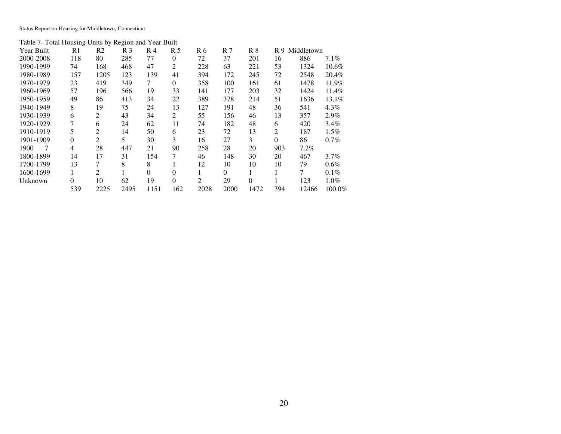Table 7- Total Housing Units by Region and Year Built

| Year Built | R1  | R <sub>2</sub> | R <sub>3</sub> | R <sub>4</sub> | R <sub>5</sub> | R 6            | R <sub>7</sub> | R8       | R 9      | Middletown |          |
|------------|-----|----------------|----------------|----------------|----------------|----------------|----------------|----------|----------|------------|----------|
| 2000-2008  | 118 | 80             | 285            | 77             | $\Omega$       | 72             | 37             | 201      | 16       | 886        | $7.1\%$  |
| 1990-1999  | 74  | 168            | 468            | 47             | 2              | 228            | 63             | 221      | 53       | 1324       | $10.6\%$ |
| 1980-1989  | 157 | 1205           | 123            | 139            | 41             | 394            | 172            | 245      | 72       | 2548       | 20.4%    |
| 1970-1979  | 23  | 419            | 349            | 7              | $\Omega$       | 358            | 100            | 161      | 61       | 1478       | 11.9%    |
| 1960-1969  | 57  | 196            | 566            | 19             | 33             | 141            | 177            | 203      | 32       | 1424       | 11.4%    |
| 1950-1959  | 49  | 86             | 413            | 34             | 22             | 389            | 378            | 214      | 51       | 1636       | 13.1%    |
| 1940-1949  | 8   | 19             | 75             | 24             | 13             | 127            | 191            | 48       | 36       | 541        | $4.3\%$  |
| 1930-1939  | 6   | 2              | 43             | 34             | $\overline{c}$ | 55             | 156            | 46       | 13       | 357        | 2.9%     |
| 1920-1929  | 7   | 6              | 24             | 62             | 11             | 74             | 182            | 48       | 6        | 420        | 3.4%     |
| 1910-1919  | 5   | 2              | 14             | 50             | 6              | 23             | 72             | 13       | 2        | 187        | $1.5\%$  |
| 1901-1909  | 0   | 2              | 5              | 30             | 3              | 16             | 27             | 3        | $\Omega$ | 86         | $0.7\%$  |
| 1900<br>7  | 4   | 28             | 447            | 21             | 90             | 258            | 28             | 20       | 903      | $7.2\%$    |          |
| 1800-1899  | 14  | 17             | 31             | 154            | 7              | 46             | 148            | 30       | 20       | 467        | $3.7\%$  |
| 1700-1799  | 13  | 7              | 8              | 8              |                | 12             | 10             | 10       | 10       | 79         | $0.6\%$  |
| 1600-1699  |     | 2              |                | 0              | $\Omega$       |                | 0              |          |          | 7          | $0.1\%$  |
| Unknown    | 0   | 10             | 62             | 19             | $\Omega$       | $\mathfrak{D}$ | 29             | $\Omega$ |          | 123        | $1.0\%$  |
|            | 539 | 2225           | 2495           | 1151           | 162            | 2028           | 2000           | 1472     | 394      | 12466      | 100.0%   |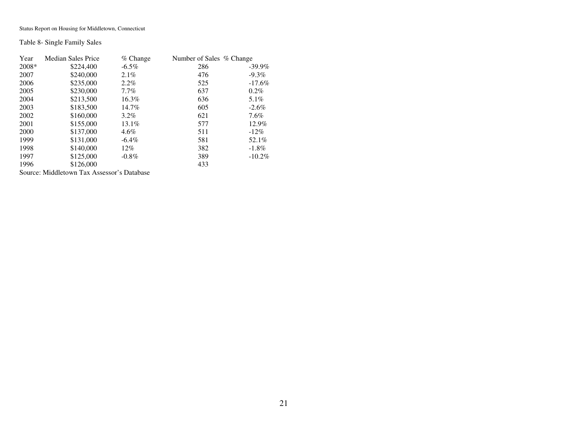Table 8- Single Family Sales

| Year  | <b>Median Sales Price</b> | $%$ Change | Number of Sales % Change |           |
|-------|---------------------------|------------|--------------------------|-----------|
| 2008* | \$224,400                 | $-6.5\%$   | 286                      | $-39.9\%$ |
| 2007  | \$240,000                 | $2.1\%$    | 476                      | $-9.3\%$  |
| 2006  | \$235,000                 | $2.2\%$    | 525                      | $-17.6%$  |
| 2005  | \$230,000                 | $7.7\%$    | 637                      | $0.2\%$   |
| 2004  | \$213,500                 | 16.3%      | 636                      | 5.1%      |
| 2003  | \$183,500                 | 14.7%      | 605                      | $-2.6\%$  |
| 2002  | \$160,000                 | $3.2\%$    | 621                      | $7.6\%$   |
| 2001  | \$155,000                 | 13.1%      | 577                      | 12.9%     |
| 2000  | \$137,000                 | $4.6\%$    | 511                      | $-12\%$   |
| 1999  | \$131,000                 | $-6.4\%$   | 581                      | 52.1%     |
| 1998  | \$140,000                 | 12%        | 382                      | $-1.8\%$  |
| 1997  | \$125,000                 | $-0.8\%$   | 389                      | $-10.2\%$ |
| 1996  | \$126,000                 |            | 433                      |           |
|       |                           |            |                          |           |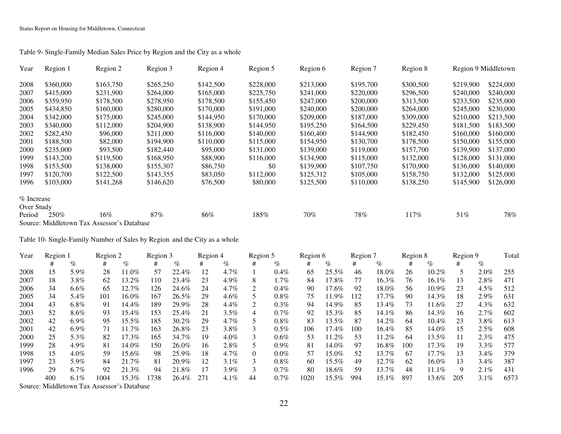| Year       | Region 1  | Region 2                                   | Region 3  | Region 4  | Region 5  | Region 6  | Region 7  | Region 8  |           | Region 9 Middletown |
|------------|-----------|--------------------------------------------|-----------|-----------|-----------|-----------|-----------|-----------|-----------|---------------------|
| 2008       | \$360,000 | \$163,750                                  | \$265,250 | \$142,500 | \$228,000 | \$213,000 | \$195,700 | \$300,500 | \$219,900 | \$224,000           |
| 2007       | \$415,000 | \$231,900                                  | \$264,000 | \$165,000 | \$225,750 | \$241,000 | \$220,000 | \$296,500 | \$240,000 | \$240,000           |
| 2006       | \$359,950 | \$178,500                                  | \$278,950 | \$178,500 | \$155,450 | \$247,000 | \$200,000 | \$313,500 | \$233,500 | \$235,000           |
| 2005       | \$434,850 | \$160,000                                  | \$280,000 | \$170,000 | \$191,000 | \$240,000 | \$200,000 | \$264,000 | \$245,000 | \$230,000           |
| 2004       | \$342,000 | \$175,000                                  | \$245,000 | \$144,950 | \$170,000 | \$209,000 | \$187,000 | \$309,000 | \$210,000 | \$213,500           |
| 2003       | \$340,000 | \$112,000                                  | \$204,900 | \$138,900 | \$144,950 | \$195,250 | \$164,500 | \$229,450 | \$181.500 | \$183,500           |
| 2002       | \$282,450 | \$96,000                                   | \$211,000 | \$116,000 | \$140,000 | \$160,400 | \$144,900 | \$182,450 | \$160,000 | \$160,000           |
| 2001       | \$188,500 | \$82,000                                   | \$194.900 | \$110,000 | \$115,000 | \$154,950 | \$130,700 | \$178,500 | \$150,000 | \$155,000           |
| 2000       | \$235,000 | \$93,500                                   | \$182,440 | \$95,000  | \$131,000 | \$139,000 | \$119,000 | \$157,700 | \$139,900 | \$137,000           |
| 1999       | \$143,200 | \$119.500                                  | \$168.950 | \$88,900  | \$116,000 | \$134,900 | \$115,000 | \$132,000 | \$128,000 | \$131,000           |
| 1998       | \$153,500 | \$138,000                                  | \$155,307 | \$86,750  | \$0       | \$139,900 | \$107,750 | \$170,900 | \$136,000 | \$140,000           |
| 1997       | \$120,700 | \$122,500                                  | \$143,355 | \$83,050  | \$112,000 | \$125,312 | \$105,000 | \$158,750 | \$132,000 | \$125,000           |
| 1996       | \$103,000 | \$141,268                                  | \$146,620 | \$76,500  | \$80,000  | \$125,500 | \$110,000 | \$138,250 | \$145,900 | \$126,000           |
| % Increase |           |                                            |           |           |           |           |           |           |           |                     |
| Over Study |           |                                            |           |           |           |           |           |           |           |                     |
| Period     | 250%      | $16\%$                                     | 87%       | 86%       | 185%      | 70%       | 78%       | 117%      | 51%       | 78%                 |
|            |           | Source: Middletown Tax Assessor's Database |           |           |           |           |           |           |           |                     |

Table 9- Single-Family Median Sales Price by Region and the City as a whole

Table 10- Single-Family Number of Sales by Region and the City as a whole

| Year | Region 1 |         | Region 2 |          | Region 3 |          | Region 4 |         | Region 5 |         | Region 6 |          | Region 7 |          | Region 8 |          | Region 9 |         | Total |
|------|----------|---------|----------|----------|----------|----------|----------|---------|----------|---------|----------|----------|----------|----------|----------|----------|----------|---------|-------|
|      |          | $\%$    | #        | $\%$     | #        | $\%$     | #        | $\%$    | #        | $\%$    |          | $\%$     | #        | $\%$     | #        | $\%$     | #        | $\%$    |       |
| 2008 | 15       | 5.9%    | 28       | 11.0%    | 57       | 22.4%    | 12       | $4.7\%$ |          | $0.4\%$ | 65       | $25.5\%$ | 46       | 18.0%    | 26       | 10.2%    |          | $2.0\%$ | 255   |
| 2007 | 18       | $3.8\%$ | 62       | 13.2%    | 110      | 23.4%    | 23       | 4.9%    | 8        | $1.7\%$ | 84       | 17.8%    | 77       | 16.3%    | 76       | $16.1\%$ | 13       | 2.8%    | 471   |
| 2006 | 34       | $6.6\%$ | 65       | 12.7%    | 126      | 24.6%    | 24       | $4.7\%$ |          | 0.4%    | 90       | 17.6%    | 92       | 18.0%    | 56       | $10.9\%$ | 23       | $4.5\%$ | 512   |
| 2005 | 34       | 5.4%    | 101      | 16.0%    | 167      | 26.5%    | 29       | $4.6\%$ |          | $0.8\%$ | 75       | 11.9%    | 112      | 17.7%    | 90       | 14.3%    | 18       | $2.9\%$ | 631   |
| 2004 | 43       | $6.8\%$ | 91       | 14.4%    | 189      | 29.9%    | 28       | $4.4\%$ |          | $0.3\%$ | 94       | 14.9%    | 85       | 13.4%    | 73       | 11.6%    | 27       | $4.3\%$ | 632   |
| 2003 | 52       | 8.6%    | 93       | 15.4%    | 153      | 25.4%    | 21       | $3.5\%$ | 4        | $0.7\%$ | 92       | 15.3%    | 85       | $14.1\%$ | 86       | 14.3%    | 16       | $2.7\%$ | 602   |
| 2002 | 42       | $6.9\%$ | 95       | 15.5%    | 185      | $30.2\%$ | 29       | $4.7\%$ |          | $0.8\%$ | 83       | 13.5%    | 87       | 14.2%    | 64       | $10.4\%$ | 23       | $3.8\%$ | 613   |
| 2001 | 42       | $6.9\%$ | 71       | $11.7\%$ | 163      | 26.8%    | 23       | 3.8%    |          | $0.5\%$ | 106      | 17.4%    | 100      | 16.4%    | 85       | 14.0%    | 15       | $2.5\%$ | 608   |
| 2000 | 25       | 5.3%    | 82       | 17.3%    | 165      | 34.7%    | 19       | $4.0\%$ |          | $0.6\%$ | 53       | $11.2\%$ | 53       | $11.2\%$ | 64       | 13.5%    | 11       | $2.3\%$ | 475   |
| 1999 | 28       | 4.9%    | 81       | 14.0%    | 150      | 26.0%    | 16       | 2.8%    |          | $0.9\%$ | 81       | 14.0%    | 97       | 16.8%    | 100      | 17.3%    | 19       | 3.3%    | 577   |
| 1998 | 15       | $4.0\%$ | 59       | 15.6%    | 98       | 25.9%    | 18       | $4.7\%$ | $\Omega$ | $0.0\%$ | 57       | 15.0%    | 52       | 13.7%    | 67       | 17.7%    | 13       | 3.4%    | 379   |
| 1997 | 23       | 5.9%    | 84       | 21.7%    | 81       | 20.9%    | 12       | $3.1\%$ |          | $0.8\%$ | 60       | 15.5%    | 49       | 12.7%    | 62       | 16.0%    | 13       | $3.4\%$ | 387   |
| 1996 | 29       | $6.7\%$ | 92       | 21.3%    | 94       | 21.8%    | 17       | 3.9%    |          | $0.7\%$ | 80       | 18.6%    | 59       | 13.7%    | 48       | $11.1\%$ | 9        | 2.1%    | 431   |
|      | 400      | $6.1\%$ | 1004     | 15.3%    | .738     | 26.4%    | 271      | $4.1\%$ | 44       | $0.7\%$ | 1020     | 15.5%    | 994      | $15.1\%$ | 897      | 13.6%    | 205      | $3.1\%$ | 6573  |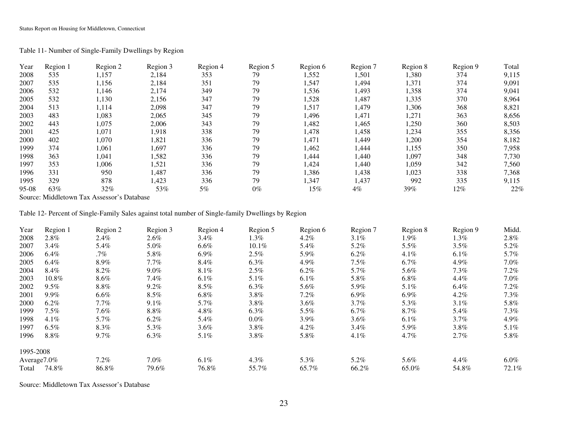### Table 11- Number of Single-Family Dwellings by Region

| Year    | Region 1 | Region 2 | Region 3 | Region 4 | Region 5 | Region 6 | Region 7 | Region 8 | Region 9 | Total |
|---------|----------|----------|----------|----------|----------|----------|----------|----------|----------|-------|
| 2008    | 535      | 1,157    | 2,184    | 353      | 79       | 1,552    | 1,501    | 1,380    | 374      | 9,115 |
| 2007    | 535      | 1,156    | 2,184    | 351      | 79       | 1,547    | 1,494    | 1,371    | 374      | 9,091 |
| 2006    | 532      | 1,146    | 2,174    | 349      | 79       | 1,536    | 1,493    | 1,358    | 374      | 9,041 |
| 2005    | 532      | 1,130    | 2,156    | 347      | 79       | 1,528    | 1,487    | 1,335    | 370      | 8,964 |
| 2004    | 513      | 1,114    | 2,098    | 347      | 79       | 1,517    | 1,479    | 1,306    | 368      | 8,821 |
| 2003    | 483      | 1,083    | 2,065    | 345      | 79       | 1,496    | 1,471    | 1,271    | 363      | 8,656 |
| 2002    | 443      | 1,075    | 2,006    | 343      | 79       | 1,482    | 1,465    | 1,250    | 360      | 8,503 |
| 2001    | 425      | 1,071    | 1,918    | 338      | 79       | 1,478    | 1,458    | 1,234    | 355      | 8,356 |
| 2000    | 402      | 1,070    | 1,821    | 336      | 79       | 1,471    | 1,449    | 1,200    | 354      | 8,182 |
| 1999    | 374      | 1,061    | 1,697    | 336      | 79       | 1,462    | 1,444    | 1,155    | 350      | 7,958 |
| 1998    | 363      | 1,041    | 1,582    | 336      | 79       | 1,444    | 1,440    | 1,097    | 348      | 7,730 |
| 1997    | 353      | 1,006    | 1,521    | 336      | 79       | 1,424    | 1,440    | 1,059    | 342      | 7,560 |
| 1996    | 331      | 950      | 1,487    | 336      | 79       | 1,386    | 1,438    | 1,023    | 338      | 7,368 |
| 1995    | 329      | 878      | 1,423    | 336      | 79       | 1,347    | 1,437    | 992      | 335      | 9,115 |
| $95-08$ | 63%      | 32%      | 53%      | 5%       | $0\%$    | 15%      | 4%       | 39%      | 12%      | 22%   |

Source: Middletown Tax Assessor's Database

Table 12- Percent of Single-Family Sales against total number of Single-family Dwellings by Region

| Year      | Region 1    | Region 2 | Region 3 | Region 4 | Region 5 | Region 6 | Region 7 | Region 8 | Region 9 | Midd.   |
|-----------|-------------|----------|----------|----------|----------|----------|----------|----------|----------|---------|
| 2008      | 2.8%        | 2.4%     | $2.6\%$  | $3.4\%$  | 1.3%     | $4.2\%$  | $3.1\%$  | $1.9\%$  | 1.3%     | 2.8%    |
| 2007      | $3.4\%$     | 5.4%     | 5.0%     | $6.6\%$  | $10.1\%$ | 5.4%     | 5.2%     | $5.5\%$  | 3.5%     | 5.2%    |
| 2006      | 6.4%        | .7%      | 5.8%     | $6.9\%$  | $2.5\%$  | 5.9%     | $6.2\%$  | $4.1\%$  | $6.1\%$  | 5.7%    |
| 2005      | 6.4%        | 8.9%     | $7.7\%$  | 8.4%     | $6.3\%$  | 4.9%     | $7.5\%$  | $6.7\%$  | $4.9\%$  | $7.0\%$ |
| 2004      | 8.4%        | 8.2%     | $9.0\%$  | $8.1\%$  | 2.5%     | $6.2\%$  | 5.7%     | 5.6%     | $7.3\%$  | $7.2\%$ |
| 2003      | 10.8%       | $8.6\%$  | $7.4\%$  | $6.1\%$  | $5.1\%$  | $6.1\%$  | $5.8\%$  | $6.8\%$  | $4.4\%$  | $7.0\%$ |
| 2002      | $9.5\%$     | $8.8\%$  | 9.2%     | 8.5%     | $6.3\%$  | 5.6%     | 5.9%     | 5.1%     | $6.4\%$  | $7.2\%$ |
| 2001      | $9.9\%$     | $6.6\%$  | 8.5%     | $6.8\%$  | $3.8\%$  | $7.2\%$  | $6.9\%$  | $6.9\%$  | $4.2\%$  | $7.3\%$ |
| 2000      | $6.2\%$     | $7.7\%$  | $9.1\%$  | 5.7%     | $3.8\%$  | $3.6\%$  | $3.7\%$  | 5.3%     | 3.1%     | 5.8%    |
| 1999      | $7.5\%$     | 7.6%     | $8.8\%$  | 4.8%     | $6.3\%$  | 5.5%     | $6.7\%$  | 8.7%     | 5.4%     | $7.3\%$ |
| 1998      | $4.1\%$     | 5.7%     | 6.2%     | 5.4%     | $0.0\%$  | $3.9\%$  | $3.6\%$  | $6.1\%$  | $3.7\%$  | 4.9%    |
| 1997      | $6.5\%$     | $8.3\%$  | 5.3%     | $3.6\%$  | $3.8\%$  | $4.2\%$  | $3.4\%$  | 5.9%     | $3.8\%$  | $5.1\%$ |
| 1996      | $8.8\%$     | $9.7\%$  | $6.3\%$  | 5.1%     | $3.8\%$  | 5.8%     | $4.1\%$  | 4.7%     | 2.7%     | 5.8%    |
| 1995-2008 |             |          |          |          |          |          |          |          |          |         |
|           | Average7.0% | $7.2\%$  | $7.0\%$  | $6.1\%$  | $4.3\%$  | 5.3%     | $5.2\%$  | 5.6%     | $4.4\%$  | $6.0\%$ |
| Total     | 74.8%       | 86.8%    | 79.6%    | 76.8%    | 55.7%    | 65.7%    | 66.2%    | 65.0%    | 54.8%    | 72.1%   |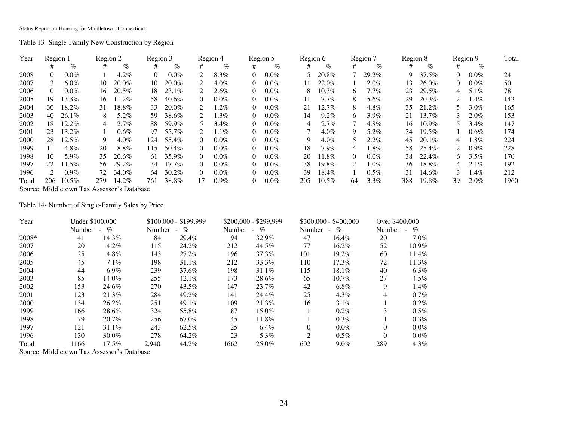Table 13- Single-Family New Construction by Region

| Year  | Region 1                                                                                                                                                                                                                                                                                         |              | Region 2 |                                | Region 3 |          |                             | Region 4 |          | Region 5 | Region 6 |          |               | Region 7 | Region 8 |          |          | Region 9 | Total |
|-------|--------------------------------------------------------------------------------------------------------------------------------------------------------------------------------------------------------------------------------------------------------------------------------------------------|--------------|----------|--------------------------------|----------|----------|-----------------------------|----------|----------|----------|----------|----------|---------------|----------|----------|----------|----------|----------|-------|
|       |                                                                                                                                                                                                                                                                                                  | $\%$         | #        | $\%$                           | #        | $\%$     | #                           | %        | #        | $\%$     | #        | %        | #             | $\%$     | #        | $\%$     | #        | $\%$     |       |
| 2008  |                                                                                                                                                                                                                                                                                                  | $0.0\%$      |          | 4.2%                           | $\Omega$ | $0.0\%$  |                             | 8.3%     | 0        | $0.0\%$  |          | 20.8%    |               | 29.2%    | 9        | 37.5%    | 0        | $0.0\%$  | 24    |
| 2007  | 3                                                                                                                                                                                                                                                                                                | $6.0\%$      | 10       | 20.0%                          | 10       | 20.0%    |                             | $4.0\%$  | 0        | $0.0\%$  | 11.      | 22.0%    |               | $2.0\%$  | 13       | 26.0%    | $\Omega$ | $0.0\%$  | 50    |
| 2006  | 0                                                                                                                                                                                                                                                                                                | $0.0\%$      | 16.      | 20.5%                          | 18       | $23.1\%$ |                             | 2.6%     | 0        | $0.0\%$  | 8.       | $10.3\%$ | 6.            | 7.7%     | 23       | 29.5%    |          | $5.1\%$  | 78    |
| 2005  | 19.                                                                                                                                                                                                                                                                                              | 13.3%        | 16       | $11.2\%$                       | 58       | 40.6%    | $\Omega$                    | $0.0\%$  | 0        | $0.0\%$  | 11       | 7.7%     | 8.            | 5.6%     | 29       | 20.3%    |          | $1.4\%$  | 143   |
| 2004  | 30                                                                                                                                                                                                                                                                                               | 18.2%        | 31       | 18.8%                          | 33       | 20.0%    |                             | 1.2%     | 0        | $0.0\%$  | 21       | 12.7%    | 8             | $4.8\%$  | 35       | 21.2%    |          | $3.0\%$  | 165   |
| 2003  | 40                                                                                                                                                                                                                                                                                               | $26.1\%$     | 8.       | 5.2%                           | 59       | 38.6%    | $\mathcal{D}_{\mathcal{L}}$ | $1.3\%$  | 0        | $0.0\%$  | 14       | $9.2\%$  | 6.            | $3.9\%$  | 21       | 13.7%    |          | $2.0\%$  | 153   |
| 2002  | 18                                                                                                                                                                                                                                                                                               | 12.2%        | 4        | 2.7%                           | 88       | 59.9%    |                             | 3.4%     | 0        | $0.0\%$  | 4        | $2.7\%$  |               | $4.8\%$  | 16       | $10.9\%$ |          | $3.4\%$  | 147   |
| 2001  | 23                                                                                                                                                                                                                                                                                               | 13.2%        |          | $0.6\%$                        | 97       | 55.7%    |                             | $1.1\%$  | $\Omega$ | $0.0\%$  |          | $4.0\%$  | 9             | 5.2%     | 34       | 19.5%    |          | $0.6\%$  | 174   |
| 2000  | 28                                                                                                                                                                                                                                                                                               | 12.5%        | 9        | $4.0\%$                        | 124      | 55.4%    | 0                           | $0.0\%$  | 0        | $0.0\%$  | 9        | $4.0\%$  |               | $2.2\%$  | 45       | 20.1%    | 4        | $1.8\%$  | 224   |
| 1999  | 11                                                                                                                                                                                                                                                                                               | 4.8%         | 20       | 8.8%                           | 115      | 50.4%    |                             | $0.0\%$  | 0        | $0.0\%$  | 18       | $7.9\%$  | 4             | 1.8%     | 58       | 25.4%    |          | $0.9\%$  | 228   |
| 1998  | 10                                                                                                                                                                                                                                                                                               | 5.9%         | 35       | 20.6%                          | 61       | 35.9%    | $\Omega$                    | $0.0\%$  | 0        | $0.0\%$  | 20       | 11.8%    | 0             | $0.0\%$  | 38       | 22.4%    | h.       | $3.5\%$  | 170   |
| 1997  | 22                                                                                                                                                                                                                                                                                               | 11.5%        | 56.      | 29.2%                          | 34       | 17.7%    | $\Omega$                    | $0.0\%$  | 0        | $0.0\%$  | 38       | 19.8%    | $\mathcal{L}$ | $1.0\%$  | 36       | 18.8%    | 4        | $2.1\%$  | 192   |
| 1996  | $\mathcal{D}$                                                                                                                                                                                                                                                                                    | $0.9\%$      | 72       | 34.0%                          | 64       | $30.2\%$ | 0                           | $0.0\%$  | 0        | $0.0\%$  | 39       | 18.4%    |               | $0.5\%$  | 31       | 14.6%    |          | 1.4%     | 212   |
| Total | 206                                                                                                                                                                                                                                                                                              | $10.5\%$     | 279      | 14.2%                          | 761      | 38.8%    | 17                          | $0.9\%$  | 0        | $0.0\%$  | 205      | 10.5%    | 64            | $3.3\%$  | 388      | 19.8%    | 39       | $2.0\%$  | 1960  |
|       | $\mathbf{X}$ and $\mathbf{Y}$ and $\mathbf{Y}$ and $\mathbf{Y}$ and $\mathbf{Y}$ and $\mathbf{Y}$ and $\mathbf{Y}$ and $\mathbf{Y}$ and $\mathbf{Y}$ and $\mathbf{Y}$ and $\mathbf{Y}$ and $\mathbf{Y}$ and $\mathbf{Y}$ and $\mathbf{Y}$ and $\mathbf{Y}$ and $\mathbf{Y}$ and $\mathbf{Y}$ and | $\mathbf{r}$ |          | $\cdot$ $\sim$ $\cdot$ $\cdot$ |          |          |                             |          |          |          |          |          |               |          |          |          |          |          |       |

Source: Middletown Tax Assessor's Database

Table 14- Number of Single-Family Sales by Price

| Year    |        | Under \$100,000  |        | $$100.000 - $199.999$ |        | \$200,000 - \$299,999  |          | $$300,000 - $400,000$ | Over \$400,000 |          |
|---------|--------|------------------|--------|-----------------------|--------|------------------------|----------|-----------------------|----------------|----------|
|         | Number | $\%$<br>$\sim$ . | Number | $\%$<br>- 1           | Number | $\%$<br>$\blacksquare$ | Number   | $\%$<br>$\sim$        | Number         | $\%$     |
| $2008*$ | 41     | 14.3%            | 84     | 29.4%                 | 94     | 32.9%                  | 47       | $16.4\%$              | 20             | $7.0\%$  |
| 2007    | 20     | $4.2\%$          | 115    | 24.2%                 | 212    | 44.5%                  | 77       | 16.2%                 | 52             | $10.9\%$ |
| 2006    | 25     | 4.8%             | 143    | 27.2%                 | 196    | 37.3%                  | 101      | 19.2%                 | 60             | 11.4%    |
| 2005    | 45     | $7.1\%$          | 198    | 31.1%                 | 212    | 33.3%                  | 110      | $17.3\%$              | 72             | 11.3%    |
| 2004    | 44     | $6.9\%$          | 239    | 37.6%                 | 198    | $31.1\%$               | 115      | 18.1%                 | 40             | $6.3\%$  |
| 2003    | 85     | 14.0%            | 255    | $42.1\%$              | 173    | 28.6%                  | 65       | $10.7\%$              | 27             | $4.5\%$  |
| 2002    | 153    | 24.6%            | 270    | 43.5%                 | 147    | 23.7%                  | 42       | $6.8\%$               | 9              | $1.4\%$  |
| 2001    | 123    | 21.3%            | 284    | 49.2%                 | 141    | 24.4%                  | 25       | $4.3\%$               | 4              | $0.7\%$  |
| 2000    | 134    | 26.2%            | 251    | 49.1%                 | 109    | 21.3%                  | 16       | $3.1\%$               |                | $0.2\%$  |
| 1999    | 166    | 28.6%            | 324    | 55.8%                 | 87     | 15.0%                  |          | $0.2\%$               | 3              | $0.5\%$  |
| 1998    | 79     | 20.7%            | 256    | 67.0%                 | 45     | 11.8%                  |          | $0.3\%$               |                | $0.3\%$  |
| 1997    | 121    | 31.1%            | 243    | 62.5%                 | 25     | 6.4%                   | $\theta$ | $0.0\%$               | $\Omega$       | $0.0\%$  |
| 1996    | 130    | 30.0%            | 278    | 64.2%                 | 23     | 5.3%                   | 2        | $0.5\%$               | $\Omega$       | $0.0\%$  |
| Total   | 166    | $17.5\%$         | 2.940  | 44.2%                 | 1662   | 25.0%                  | 602      | $9.0\%$               | 289            | $4.3\%$  |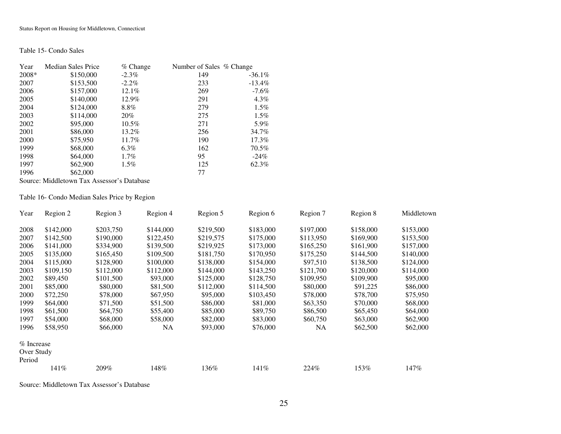### Table 15- Condo Sales

| Year  | <b>Median Sales Price</b> | $%$ Change | Number of Sales % Change |           |
|-------|---------------------------|------------|--------------------------|-----------|
| 2008* | \$150,000                 | $-2.3\%$   | 149                      | $-36.1\%$ |
| 2007  | \$153,500                 | $-2.2\%$   | 233                      | $-13.4\%$ |
| 2006  | \$157,000                 | 12.1%      | 269                      | $-7.6\%$  |
| 2005  | \$140,000                 | 12.9%      | 291                      | $4.3\%$   |
| 2004  | \$124,000                 | 8.8%       | 279                      | $1.5\%$   |
| 2003  | \$114,000                 | 20%        | 275                      | $1.5\%$   |
| 2002  | \$95,000                  | $10.5\%$   | 271                      | 5.9%      |
| 2001  | \$86,000                  | 13.2%      | 256                      | 34.7%     |
| 2000  | \$75,950                  | 11.7%      | 190                      | 17.3%     |
| 1999  | \$68,000                  | 6.3%       | 162                      | 70.5%     |
| 1998  | \$64,000                  | $1.7\%$    | 95                       | $-24\%$   |
| 1997  | \$62,900                  | $1.5\%$    | 125                      | 62.3%     |
| 1996  | \$62,000                  |            | 77                       |           |

Source: Middletown Tax Assessor's Database

### Table 16- Condo Median Sales Price by Region

| Year       | Region 2  | Region 3  | Region 4  | Region 5  | Region 6  | Region 7  | Region 8  | Middletown |
|------------|-----------|-----------|-----------|-----------|-----------|-----------|-----------|------------|
| 2008       | \$142,000 | \$203,750 | \$144,000 | \$219,500 | \$183,000 | \$197,000 | \$158,000 | \$153,000  |
| 2007       | \$142,500 | \$190,000 | \$122,450 | \$219,575 | \$175,000 | \$113,950 | \$169,900 | \$153,500  |
| 2006       | \$141,000 | \$334,900 | \$139,500 | \$219,925 | \$173,000 | \$165,250 | \$161,900 | \$157,000  |
| 2005       | \$135,000 | \$165,450 | \$109,500 | \$181,750 | \$170,950 | \$175,250 | \$144,500 | \$140,000  |
| 2004       | \$115,000 | \$128,900 | \$100,000 | \$138,000 | \$154,000 | \$97,510  | \$138,500 | \$124,000  |
| 2003       | \$109,150 | \$112,000 | \$112,000 | \$144,000 | \$143,250 | \$121,700 | \$120,000 | \$114,000  |
| 2002       | \$89,450  | \$101,500 | \$93,000  | \$125,000 | \$128,750 | \$109,950 | \$109,900 | \$95,000   |
| 2001       | \$85,000  | \$80,000  | \$81,500  | \$112,000 | \$114,500 | \$80,000  | \$91,225  | \$86,000   |
| 2000       | \$72,250  | \$78,000  | \$67,950  | \$95,000  | \$103,450 | \$78,000  | \$78,700  | \$75,950   |
| 1999       | \$64,000  | \$71,500  | \$51,500  | \$86,000  | \$81,000  | \$63,350  | \$70,000  | \$68,000   |
| 1998       | \$61,500  | \$64,750  | \$55,400  | \$85,000  | \$89,750  | \$86,500  | \$65,450  | \$64,000   |
| 1997       | \$54,000  | \$68,000  | \$58,000  | \$82,000  | \$83,000  | \$60,750  | \$63,000  | \$62,900   |
| 1996       | \$58,950  | \$66,000  | NA        | \$93,000  | \$76,000  | NA        | \$62,500  | \$62,000   |
| % Increase |           |           |           |           |           |           |           |            |
| Over Study |           |           |           |           |           |           |           |            |
| Period     |           |           |           |           |           |           |           |            |
|            | 141%      | 209%      | 148%      | 136%      | 141\%     | 224\%     | 153%      | 147%       |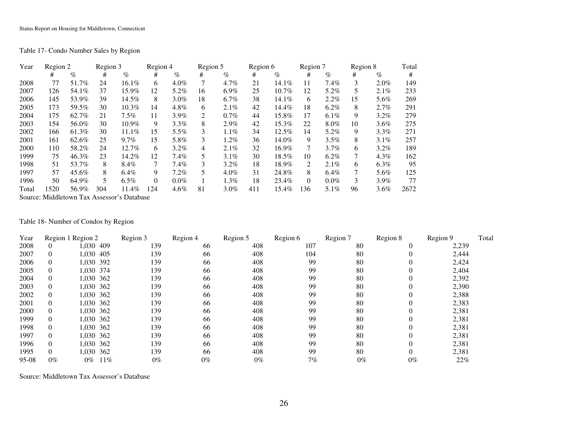Table 17- Condo Number Sales by Region

| Year  | Region 2 |       | Region 3 |                                            | Region 4 |         | Region 5 |         | Region 6 |          | Region 7 |         | Region 8 |         | Total |
|-------|----------|-------|----------|--------------------------------------------|----------|---------|----------|---------|----------|----------|----------|---------|----------|---------|-------|
|       | #        | $\%$  | #        | $\%$                                       | #        | $\%$    | #        | $\%$    | #        | $\%$     | #        | $\%$    | #        | $\%$    | #     |
| 2008  | 77       | 51.7% | 24       | 16.1%                                      | 6        | $4.0\%$ | 7        | 4.7%    | 21       | 14.1%    | 11       | $7.4\%$ | 3        | $2.0\%$ | 149   |
| 2007  | 126      | 54.1% | 37       | 15.9%                                      | 12       | 5.2%    | 16       | 6.9%    | 25       | $10.7\%$ | 12       | 5.2%    | 5        | $2.1\%$ | 233   |
| 2006  | 145      | 53.9% | 39       | 14.5%                                      | 8        | $3.0\%$ | 18       | 6.7%    | 38       | 14.1%    | 6        | 2.2%    | 15       | 5.6%    | 269   |
| 2005  | 173      | 59.5% | 30       | $10.3\%$                                   | 14       | 4.8%    | 6        | 2.1%    | 42       | 14.4%    | 18       | $6.2\%$ | 8        | 2.7%    | 291   |
| 2004  | 175      | 62.7% | 21       | $7.5\%$                                    | 11       | $3.9\%$ | 2        | 0.7%    | 44       | 15.8%    | 17       | $6.1\%$ | 9        | 3.2%    | 279   |
| 2003  | 154      | 56.0% | 30       | 10.9%                                      | 9        | $3.3\%$ | 8        | 2.9%    | 42       | 15.3%    | 22       | 8.0%    | 10       | 3.6%    | 275   |
| 2002  | 166      | 61.3% | 30       | $11.1\%$                                   | 15       | $5.5\%$ | 3        | 1.1%    | 34       | 12.5%    | 14       | 5.2%    | 9        | $3.3\%$ | 271   |
| 2001  | 161      | 62.6% | 25       | $9.7\%$                                    | 15       | 5.8%    | 3        | 1.2%    | 36       | 14.0%    | 9        | 3.5%    | 8        | $3.1\%$ | 257   |
| 2000  | 110      | 58.2% | 24       | 12.7%                                      | 6        | $3.2\%$ | 4        | 2.1%    | 32       | 16.9%    | 7        | 3.7%    | 6        | $3.2\%$ | 189   |
| 1999  | 75       | 46.3% | 23       | 14.2%                                      | 12       | $7.4\%$ | 5        | 3.1%    | 30       | 18.5%    | 10       | $6.2\%$ | 7        | $4.3\%$ | 162   |
| 1998  | 51       | 53.7% | 8        | 8.4%                                       |          | 7.4%    | 3        | $3.2\%$ | 18       | 18.9%    | 2        | $2.1\%$ | 6        | $6.3\%$ | 95    |
| 1997  | 57       | 45.6% | 8        | $6.4\%$                                    | 9        | $7.2\%$ | 5        | $4.0\%$ | 31       | 24.8%    | 8        | $6.4\%$ | 7        | 5.6%    | 125   |
| 1996  | 50       | 64.9% | 5        | $6.5\%$                                    | $\Omega$ | $0.0\%$ |          | $1.3\%$ | 18       | 23.4%    | $\Omega$ | $0.0\%$ | 3        | 3.9%    | 77    |
| Total | 1520     | 56.9% | 304      | 11.4%                                      | 124      | $4.6\%$ | 81       | $3.0\%$ | 411      | 15.4%    | 136      | 5.1%    | 96       | 3.6%    | 2672  |
|       |          |       |          | Source: Middletown Tax Assessor's Database |          |         |          |         |          |          |          |         |          |         |       |

Table 18- Number of Condos by Region

| Year    |       | Region 1 Region 2 | Region 3 | Region 4 | Region 5 | Region 6 | Region 7 | Region 8 | Region 9 | Total |
|---------|-------|-------------------|----------|----------|----------|----------|----------|----------|----------|-------|
| 2008    |       | 1,030 409         | 139      | 66       | 408      | 107      | 80       | $\theta$ | 2,239    |       |
| 2007    |       | 1,030 405         | 139      | 66       | 408      | 104      | 80       |          | 2,444    |       |
| 2006    |       | 1,030 392         | 139      | 66       | 408      | 99       | 80       |          | 2,424    |       |
| 2005    |       | 1.030 374         | 139      | 66       | 408      | 99       | 80       |          | 2,404    |       |
| 2004    |       | 1,030 362         | 139      | 66       | 408      | 99       | 80       |          | 2,392    |       |
| 2003    |       | 1,030 362         | 139      | 66       | 408      | 99       | 80       |          | 2,390    |       |
| 2002    |       | 1.030 362         | 139      | 66       | 408      | 99       | 80       |          | 2,388    |       |
| 2001    |       | 1,030 362         | 139      | 66       | 408      | 99       | 80       |          | 2,383    |       |
| 2000    |       | 1,030 362         | 139      | 66       | 408      | 99       | 80       |          | 2,381    |       |
| 1999    |       | 1.030 362         | 139      | 66       | 408      | 99       | 80       |          | 2,381    |       |
| 1998    |       | 1,030 362         | 139      | 66       | 408      | 99       | 80       |          | 2,381    |       |
| 1997    |       | 1,030 362         | 139      | 66       | 408      | 99       | 80       |          | 2,381    |       |
| 1996    |       | 1,030 362         | 139      | 66       | 408      | 99       | 80       |          | 2,381    |       |
| 1995    |       | 1,030 362         | 139      | 66       | 408      | 99       | 80       |          | 2,381    |       |
| $95-08$ | $0\%$ | $11\%$<br>0%      | $0\%$    | $0\%$    | $0\%$    | 7%       | $0\%$    | $0\%$    | 22%      |       |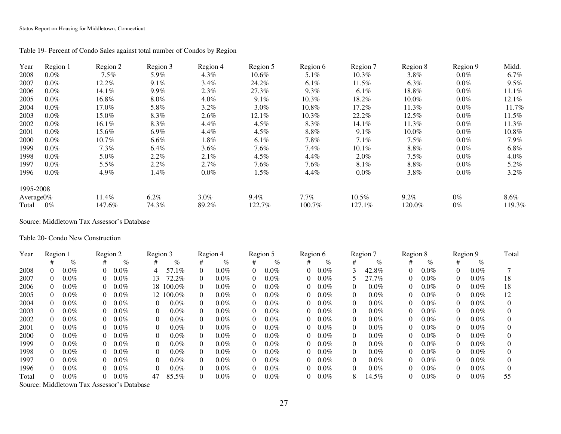Table 19- Percent of Condo Sales against total number of Condos by Region

| Year          | Region 1 | Region 2 | Region 3 | Region 4 | Region 5 | Region 6 | Region 7 | Region 8 | Region 9 | Midd.   |
|---------------|----------|----------|----------|----------|----------|----------|----------|----------|----------|---------|
| 2008          | $0.0\%$  | $7.5\%$  | 5.9%     | $4.3\%$  | $10.6\%$ | $5.1\%$  | $10.3\%$ | $3.8\%$  | $0.0\%$  | $6.7\%$ |
| 2007          | $0.0\%$  | 12.2%    | $9.1\%$  | $3.4\%$  | 24.2%    | $6.1\%$  | 11.5%    | $6.3\%$  | $0.0\%$  | $9.5\%$ |
| 2006          | $0.0\%$  | 14.1%    | 9.9%     | 2.3%     | 27.3%    | 9.3%     | $6.1\%$  | 18.8%    | $0.0\%$  | 11.1%   |
| 2005          | $0.0\%$  | $16.8\%$ | $8.0\%$  | $4.0\%$  | 9.1%     | $10.3\%$ | 18.2%    | $10.0\%$ | $0.0\%$  | 12.1%   |
| 2004          | $0.0\%$  | 17.0%    | 5.8%     | $3.2\%$  | $3.0\%$  | 10.8%    | 17.2%    | 11.3%    | $0.0\%$  | 11.7%   |
| 2003          | $0.0\%$  | 15.0%    | 8.3%     | $2.6\%$  | 12.1%    | 10.3%    | 22.2%    | 12.5%    | $0.0\%$  | 11.5%   |
| 2002          | $0.0\%$  | 16.1%    | 8.3%     | 4.4%     | $4.5\%$  | 8.3%     | 14.1%    | 11.3%    | $0.0\%$  | 11.3%   |
| 2001          | $0.0\%$  | 15.6%    | $6.9\%$  | 4.4%     | $4.5\%$  | $8.8\%$  | 9.1%     | 10.0%    | $0.0\%$  | 10.8%   |
| 2000          | $0.0\%$  | $10.7\%$ | $6.6\%$  | $1.8\%$  | $6.1\%$  | $7.8\%$  | 7.1%     | 7.5%     | $0.0\%$  | $7.9\%$ |
| 1999          | $0.0\%$  | $7.3\%$  | $6.4\%$  | $3.6\%$  | $7.6\%$  | 7.4%     | $10.1\%$ | $8.8\%$  | $0.0\%$  | $6.8\%$ |
| 1998          | $0.0\%$  | 5.0%     | $2.2\%$  | 2.1%     | $4.5\%$  | $4.4\%$  | $2.0\%$  | $7.5\%$  | $0.0\%$  | $4.0\%$ |
| 1997          | $0.0\%$  | $5.5\%$  | 2.2%     | 2.7%     | $7.6\%$  | $7.6\%$  | 8.1%     | $8.8\%$  | $0.0\%$  | 5.2%    |
| 1996          | $0.0\%$  | 4.9%     | 1.4%     | $0.0\%$  | $1.5\%$  | $4.4\%$  | $0.0\%$  | 3.8%     | $0.0\%$  | $3.2\%$ |
| 1995-2008     |          |          |          |          |          |          |          |          |          |         |
| Average $0\%$ |          | 11.4%    | $6.2\%$  | $3.0\%$  | $9.4\%$  | $7.7\%$  | $10.5\%$ | $9.2\%$  | $0\%$    | $8.6\%$ |
| Total         | $0\%$    | 147.6%   | 74.3%    | 89.2%    | 122.7%   | 100.7%   | 127.1%   | 120.0%   | $0\%$    | 119.3%  |

Source: Middletown Tax Assessor's Database

Table 20- Condo New Construction

| Year  | Region 1 |         | Region 2 |         | Region 3 |           |   | Region 4 |          | Region 5 | Region 6 |         |          | Region 7 | Region 8 |         |          | Region 9 | Total |
|-------|----------|---------|----------|---------|----------|-----------|---|----------|----------|----------|----------|---------|----------|----------|----------|---------|----------|----------|-------|
|       |          | $\%$    | #        | %       |          | $\%$      | # | $\%$     | #        | $\%$     |          | $\%$    | #        | $\%$     | #        | $\%$    | #        | $\%$     |       |
| 2008  | 0        | $0.0\%$ |          | $0.0\%$ | 4        | 57.1%     | 0 | $0.0\%$  | 0        | $0.0\%$  | 0        | $0.0\%$ |          | 42.8%    | 0        | $0.0\%$ | $\theta$ | $0.0\%$  |       |
| 2007  | $\Omega$ | $0.0\%$ |          | $0.0\%$ | 13       | 72.2%     | 0 | $0.0\%$  | 0        | $0.0\%$  | 0        | $0.0\%$ |          | 27.7%    | $\Omega$ | $0.0\%$ | $\Omega$ | $0.0\%$  | 18    |
| 2006  | $\Omega$ | $0.0\%$ |          | $0.0\%$ |          | 18 100.0% | 0 | $0.0\%$  | $\Omega$ | $0.0\%$  | $\Omega$ | $0.0\%$ | $\Omega$ | $0.0\%$  | 0        | $0.0\%$ | $\theta$ | $0.0\%$  | 18    |
| 2005  | $\Omega$ | $0.0\%$ |          | $0.0\%$ |          | 12 100.0% | 0 | $0.0\%$  | $\Omega$ | $0.0\%$  | 0        | $0.0\%$ | $\Omega$ | $0.0\%$  | 0        | $0.0\%$ |          | $0.0\%$  | 12    |
| 2004  | 0        | $0.0\%$ |          | $0.0\%$ | $\Omega$ | $0.0\%$   | 0 | $0.0\%$  | 0        | $0.0\%$  | 0        | $0.0\%$ | 0        | $0.0\%$  | 0        | $0.0\%$ |          | $0.0\%$  |       |
| 2003  | 0        | $0.0\%$ |          | $0.0\%$ |          | $0.0\%$   | 0 | $0.0\%$  | 0        | $0.0\%$  | 0        | $0.0\%$ | 0        | $0.0\%$  | 0        | $0.0\%$ | $\theta$ | $0.0\%$  |       |
| 2002  | 0        | $0.0\%$ |          | $0.0\%$ |          | $0.0\%$   | 0 | $0.0\%$  | 0        | $0.0\%$  | 0        | $0.0\%$ | 0        | $0.0\%$  | 0        | $0.0\%$ | $\theta$ | $0.0\%$  |       |
| 2001  | $\Omega$ | $0.0\%$ |          | $0.0\%$ |          | $0.0\%$   | 0 | $0.0\%$  | $\Omega$ | $0.0\%$  | $\Omega$ | $0.0\%$ | 0        | $0.0\%$  | $^{(1)}$ | $0.0\%$ | $\theta$ | $0.0\%$  |       |
| 2000  | $\Omega$ | $0.0\%$ |          | $0.0\%$ |          | $0.0\%$   | 0 | $0.0\%$  | 0        | $0.0\%$  | 0        | $0.0\%$ | 0        | $0.0\%$  | $\Omega$ | $0.0\%$ | $\Omega$ | $0.0\%$  |       |
| 1999  | 0        | $0.0\%$ |          | $0.0\%$ |          | $0.0\%$   | 0 | $0.0\%$  | $\Omega$ | $0.0\%$  | 0        | $0.0\%$ | 0        | $0.0\%$  | $\Omega$ | $0.0\%$ | $\theta$ | $0.0\%$  |       |
| 1998  | $\Omega$ | $0.0\%$ |          | $0.0\%$ |          | $0.0\%$   | 0 | $0.0\%$  | $\Omega$ | $0.0\%$  | $\Omega$ | $0.0\%$ | 0        | $0.0\%$  | $\Omega$ | $0.0\%$ | $\Omega$ | $0.0\%$  |       |
| 1997  | 0        | $0.0\%$ |          | $0.0\%$ |          | $0.0\%$   | 0 | $0.0\%$  | 0        | $0.0\%$  | 0.       | $0.0\%$ | 0        | $0.0\%$  | 0        | $0.0\%$ | $\Omega$ | $0.0\%$  |       |
| 1996  | 0        | $0.0\%$ |          | $0.0\%$ |          | $0.0\%$   | 0 | $0.0\%$  | 0        | $0.0\%$  | 0        | $0.0\%$ | 0        | $0.0\%$  | 0        | $0.0\%$ | $\Omega$ | $0.0\%$  |       |
| Total | $\Omega$ | $0.0\%$ |          | $0.0\%$ | 47       | 85.5%     | 0 | $0.0\%$  | $\Omega$ | $0.0\%$  | $\Omega$ | $0.0\%$ | 8        | 14.5%    |          | $0.0\%$ | $\theta$ | $0.0\%$  | 55    |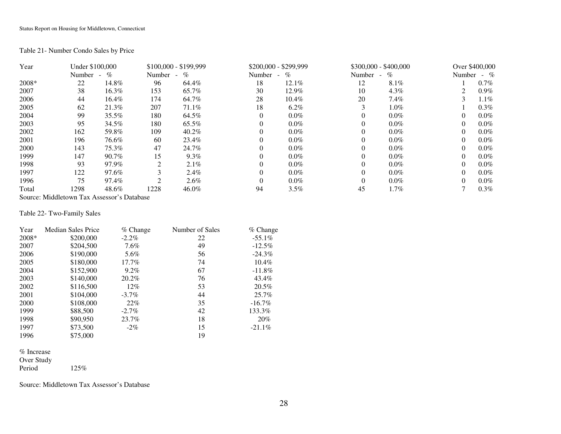### Table 21- Number Condo Sales by Price

| Year    | Under \$100,000 |                           |                | $$100,000 - $199,999$ |        | $$200,000 - $299,999$  |          | $$300,000 - $400,000$ |          | Over \$400,000 |
|---------|-----------------|---------------------------|----------------|-----------------------|--------|------------------------|----------|-----------------------|----------|----------------|
|         | Number          | $\mathcal{O}_0$<br>$\sim$ | Number         | $\%$<br>$\sim$        | Number | $\%$<br>$\sim$ 10 $\,$ | Number   | $\%$<br>$\sim$        | Number   | $-$ %          |
| $2008*$ | 22              | 14.8%                     | 96             | 64.4%                 | 18     | 12.1%                  | 12       | 8.1%                  |          | $0.7\%$        |
| 2007    | 38              | 16.3%                     | 153            | 65.7%                 | 30     | 12.9%                  | 10       | $4.3\%$               |          | $0.9\%$        |
| 2006    | 44              | 16.4%                     | 174            | 64.7%                 | 28     | $10.4\%$               | 20       | $7.4\%$               |          | $1.1\%$        |
| 2005    | 62              | 21.3%                     | 207            | 71.1%                 | 18     | $6.2\%$                |          | $1.0\%$               |          | $0.3\%$        |
| 2004    | 99              | 35.5%                     | 180            | 64.5%                 |        | $0.0\%$                | $\theta$ | $0.0\%$               |          | $0.0\%$        |
| 2003    | 95              | 34.5%                     | 180            | 65.5%                 |        | $0.0\%$                | $\Omega$ | $0.0\%$               |          | $0.0\%$        |
| 2002    | 162             | 59.8%                     | 109            | 40.2%                 |        | $0.0\%$                | $\Omega$ | $0.0\%$               |          | $0.0\%$        |
| 2001    | 196             | 76.6%                     | 60             | 23.4%                 |        | $0.0\%$                | $\Omega$ | $0.0\%$               | $\Omega$ | $0.0\%$        |
| 2000    | 143             | 75.3%                     | 47             | 24.7%                 |        | $0.0\%$                | $\Omega$ | $0.0\%$               |          | $0.0\%$        |
| 1999    | 147             | 90.7%                     | 15             | $9.3\%$               |        | $0.0\%$                | $\Omega$ | $0.0\%$               |          | $0.0\%$        |
| 1998    | 93              | 97.9%                     | $\overline{c}$ | $2.1\%$               |        | $0.0\%$                | $\Omega$ | $0.0\%$               | $\Omega$ | $0.0\%$        |
| 1997    | 122             | 97.6%                     |                | $2.4\%$               |        | $0.0\%$                | $\Omega$ | $0.0\%$               |          | $0.0\%$        |
| 1996    | 75              | 97.4%                     | ◠              | $2.6\%$               |        | $0.0\%$                | $\Omega$ | $0.0\%$               |          | $0.0\%$        |
| Total   | 1298            | 48.6%                     | 1228           | 46.0%                 | 94     | 3.5%                   | 45       | $1.7\%$               |          | $0.3\%$        |

Source: Middletown Tax Assessor's Database

### Table 22- Two-Family Sales

| Year  | <b>Median Sales Price</b> | $%$ Change | Number of Sales | $%$ Change |
|-------|---------------------------|------------|-----------------|------------|
| 2008* | \$200,000                 | $-2.2\%$   | 22              | $-55.1\%$  |
| 2007  | \$204,500                 | $7.6\%$    | 49              | $-12.5%$   |
| 2006  | \$190,000                 | 5.6%       | 56              | $-24.3\%$  |
| 2005  | \$180,000                 | 17.7%      | 74              | $10.4\%$   |
| 2004  | \$152,900                 | $9.2\%$    | 67              | $-11.8%$   |
| 2003  | \$140,000                 | 20.2%      | 76              | 43.4%      |
| 2002  | \$116,500                 | $12\%$     | 53              | 20.5%      |
| 2001  | \$104,000                 | $-3.7\%$   | 44              | 25.7%      |
| 2000  | \$108,000                 | 22%        | 35              | $-16.7\%$  |
| 1999  | \$88,500                  | $-2.7\%$   | 42              | 133.3%     |
| 1998  | \$90,950                  | 23.7%      | 18              | 20%        |
| 1997  | \$73,500                  | $-2\%$     | 15              | $-21.1\%$  |
| 1996  | \$75,000                  |            | 19              |            |

% Increase Over Study

Period 125%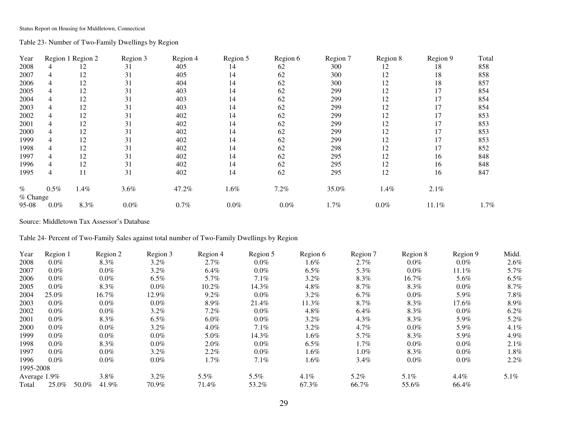Table 23- Number of Two-Family Dwellings by Region

| Year     |         | Region 1 Region 2 | Region 3 | Region 4 | Region 5 | Region 6 | Region 7 | Region 8 | Region 9 | Total   |
|----------|---------|-------------------|----------|----------|----------|----------|----------|----------|----------|---------|
| 2008     |         | 12                | 31       | 405      | 14       | 62       | 300      | 12       | 18       | 858     |
| 2007     | 4       | 12                | 31       | 405      | 14       | 62       | 300      | 12       | 18       | 858     |
| 2006     |         | 12                | 31       | 404      | 14       | 62       | 300      | 12       | 18       | 857     |
| 2005     |         | 12                | 31       | 403      | 14       | 62       | 299      | 12       | 17       | 854     |
| 2004     |         | 12                | 31       | 403      | 14       | 62       | 299      | 12       | 17       | 854     |
| 2003     |         | 12                | 31       | 403      | 14       | 62       | 299      | 12       | 17       | 854     |
| 2002     |         | 12                | 31       | 402      | 14       | 62       | 299      | 12       | 17       | 853     |
| 2001     |         | 12                | 31       | 402      | 14       | 62       | 299      | 12       | 17       | 853     |
| 2000     |         | 12                | 31       | 402      | 14       | 62       | 299      | 12       | 17       | 853     |
| 1999     |         | 12                | 31       | 402      | 14       | 62       | 299      | 12       | 17       | 853     |
| 1998     |         | 12                | 31       | 402      | 14       | 62       | 298      | 12       | 17       | 852     |
| 1997     |         | 12                | 31       | 402      | 14       | 62       | 295      | 12       | 16       | 848     |
| 1996     |         | 12                | 31       | 402      | 14       | 62       | 295      | 12       | 16       | 848     |
| 1995     | 4       | 11                | 31       | 402      | 14       | 62       | 295      | 12       | 16       | 847     |
| $\%$     | $0.5\%$ | 1.4%              | 3.6%     | 47.2%    | 1.6%     | 7.2%     | 35.0%    | 1.4%     | 2.1%     |         |
| % Change |         |                   |          |          |          |          |          |          |          |         |
| 95-08    | $0.0\%$ | 8.3%              | $0.0\%$  | 0.7%     | $0.0\%$  | $0.0\%$  | 1.7%     | $0.0\%$  | 11.1%    | $1.7\%$ |

Source: Middletown Tax Assessor's Database

Table 24- Percent of Two-Family Sales against total number of Two-Family Dwellings by Region

| Year            | Region 1 |       | Region 2 | Region 3 | Region 4 | Region 5 | Region 6 | Region 7 | Region 8 | Region 9 | Midd.   |
|-----------------|----------|-------|----------|----------|----------|----------|----------|----------|----------|----------|---------|
| 2008            | $0.0\%$  |       | 8.3%     | $3.2\%$  | $2.7\%$  | $0.0\%$  | 1.6%     | $2.7\%$  | $0.0\%$  | $0.0\%$  | 2.6%    |
| 2007            | $0.0\%$  |       | $0.0\%$  | $3.2\%$  | $6.4\%$  | $0.0\%$  | $6.5\%$  | 5.3%     | $0.0\%$  | $11.1\%$ | 5.7%    |
| 2006            | $0.0\%$  |       | $0.0\%$  | $6.5\%$  | 5.7%     | $7.1\%$  | $3.2\%$  | 8.3%     | 16.7%    | 5.6%     | $6.5\%$ |
| 2005            | $0.0\%$  |       | 8.3%     | $0.0\%$  | $10.2\%$ | 14.3%    | $4.8\%$  | $8.7\%$  | 8.3%     | $0.0\%$  | 8.7%    |
| 2004            | 25.0%    |       | 16.7%    | 12.9%    | $9.2\%$  | $0.0\%$  | $3.2\%$  | $6.7\%$  | $0.0\%$  | 5.9%     | 7.8%    |
| 2003            | $0.0\%$  |       | $0.0\%$  | $0.0\%$  | 8.9%     | 21.4%    | 11.3%    | 8.7%     | 8.3%     | 17.6%    | $8.9\%$ |
| 2002            | $0.0\%$  |       | $0.0\%$  | $3.2\%$  | $7.2\%$  | $0.0\%$  | $4.8\%$  | $6.4\%$  | $8.3\%$  | $0.0\%$  | $6.2\%$ |
| 2001            | $0.0\%$  |       | 8.3%     | $6.5\%$  | $6.0\%$  | $0.0\%$  | $3.2\%$  | $4.3\%$  | 8.3%     | 5.9%     | 5.2%    |
| 2000            | $0.0\%$  |       | $0.0\%$  | $3.2\%$  | $4.0\%$  | 7.1%     | $3.2\%$  | $4.7\%$  | $0.0\%$  | 5.9%     | 4.1%    |
| 1999            | $0.0\%$  |       | $0.0\%$  | $0.0\%$  | 5.0%     | 14.3%    | 1.6%     | 5.7%     | 8.3%     | 5.9%     | 4.9%    |
| 1998            | $0.0\%$  |       | 8.3%     | $0.0\%$  | $2.0\%$  | $0.0\%$  | $6.5\%$  | $1.7\%$  | $0.0\%$  | $0.0\%$  | 2.1%    |
| 1997            | $0.0\%$  |       | $0.0\%$  | $3.2\%$  | $2.2\%$  | $0.0\%$  | 1.6%     | $1.0\%$  | 8.3%     | $0.0\%$  | $1.8\%$ |
| 1996            | $0.0\%$  |       | $0.0\%$  | $0.0\%$  | $1.7\%$  | 7.1%     | $1.6\%$  | $3.4\%$  | $0.0\%$  | $0.0\%$  | 2.2%    |
| 1995-2008       |          |       |          |          |          |          |          |          |          |          |         |
| Average $1.9\%$ |          |       | $3.8\%$  | $3.2\%$  | 5.5%     | 5.5%     | $4.1\%$  | 5.2%     | 5.1%     | $4.4\%$  | $5.1\%$ |
| Total           | 25.0%    | 50.0% | 41.9%    | 70.9%    | 71.4%    | 53.2%    | 67.3%    | 66.7%    | 55.6%    | 66.4%    |         |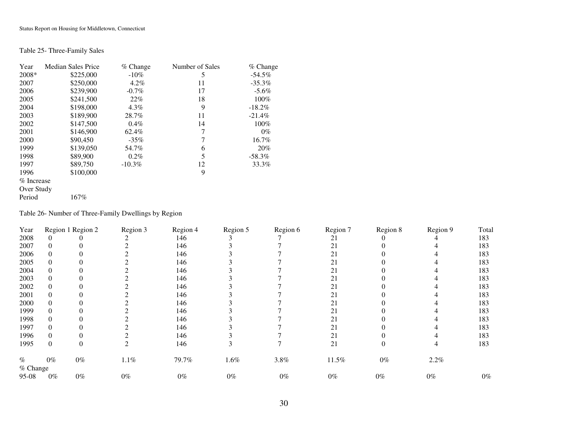### Table 25- Three-Family Sales

| Year       | <b>Median Sales Price</b> | $%$ Change | Number of Sales | $%$ Change |
|------------|---------------------------|------------|-----------------|------------|
| $2008*$    | \$225,000                 | $-10\%$    | 5               | $-54.5\%$  |
| 2007       | \$250,000                 | $4.2\%$    | 11              | $-35.3\%$  |
| 2006       | \$239,900                 | $-0.7\%$   | 17              | $-5.6\%$   |
| 2005       | \$241,500                 | 22%        | 18              | 100%       |
| 2004       | \$198,000                 | $4.3\%$    | 9               | $-18.2\%$  |
| 2003       | \$189,900                 | 28.7%      | 11              | $-21.4%$   |
| 2002       | \$147,500                 | $0.4\%$    | 14              | 100%       |
| 2001       | \$146,900                 | 62.4%      | 7               | $0\%$      |
| 2000       | \$90,450                  | $-35\%$    | 7               | 16.7%      |
| 1999       | \$139,050                 | 54.7%      | 6               | 20%        |
| 1998       | \$89,900                  | $0.2\%$    | 5               | $-58.3\%$  |
| 1997       | \$89,750                  | $-10.3\%$  | 12              | 33.3%      |
| 1996       | \$100,000                 |            | 9               |            |
| % Increase |                           |            |                 |            |
| Over Study |                           |            |                 |            |
| Period     | 167%                      |            |                 |            |

Table 26- Number of Three-Family Dwellings by Region

| Year     |       | Region 1 Region 2 | Region 3 | Region 4 | Region 5 | Region 6 | Region 7 | Region 8 | Region 9 | Total |
|----------|-------|-------------------|----------|----------|----------|----------|----------|----------|----------|-------|
| 2008     |       |                   |          | 146      |          |          | 21       |          |          | 183   |
| 2007     |       |                   |          | 146      |          |          | 21       |          |          | 183   |
| 2006     |       |                   |          | 146      |          |          | 21       |          |          | 183   |
| 2005     |       |                   |          | 146      |          |          | 21       |          |          | 183   |
| 2004     |       |                   |          | 146      |          |          | 21       |          |          | 183   |
| 2003     |       |                   |          | 146      |          |          | 21       |          |          | 183   |
| 2002     |       |                   |          | 146      |          |          | 21       |          |          | 183   |
| 2001     |       |                   |          | 146      |          |          | 21       |          |          | 183   |
| 2000     |       |                   |          | 146      |          |          | 21       |          |          | 183   |
| 1999     |       |                   |          | 146      |          |          | 21       |          |          | 183   |
| 1998     |       |                   |          | 146      |          |          | 21       |          |          | 183   |
| 1997     |       |                   |          | 146      |          |          | 21       |          |          | 183   |
| 1996     |       |                   |          | 146      |          |          | 21       |          |          | 183   |
| 1995     |       |                   |          | 146      |          |          | 21       |          |          | 183   |
| $\%$     | $0\%$ | $0\%$             | $1.1\%$  | 79.7%    | 1.6%     | 3.8%     | 11.5%    | $0\%$    | 2.2%     |       |
| % Change |       |                   |          |          |          |          |          |          |          |       |
| 95-08    | $0\%$ | $0\%$             | $0\%$    | $0\%$    | $0\%$    | $0\%$    | $0\%$    | $0\%$    | $0\%$    | $0\%$ |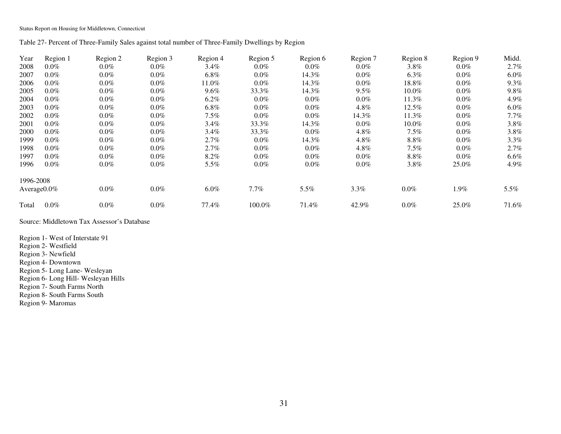Table 27- Percent of Three-Family Sales against total number of Three-Family Dwellings by Region

| Year      | Region 1        | Region 2 | Region 3 | Region 4 | Region 5 | Region 6 | Region 7 | Region 8 | Region 9 | Midd.   |
|-----------|-----------------|----------|----------|----------|----------|----------|----------|----------|----------|---------|
| 2008      | $0.0\%$         | $0.0\%$  | $0.0\%$  | $3.4\%$  | $0.0\%$  | $0.0\%$  | $0.0\%$  | $3.8\%$  | $0.0\%$  | 2.7%    |
| 2007      | $0.0\%$         | $0.0\%$  | $0.0\%$  | $6.8\%$  | $0.0\%$  | 14.3%    | $0.0\%$  | $6.3\%$  | $0.0\%$  | $6.0\%$ |
| 2006      | $0.0\%$         | $0.0\%$  | $0.0\%$  | 11.0%    | $0.0\%$  | 14.3%    | $0.0\%$  | 18.8%    | $0.0\%$  | $9.3\%$ |
| 2005      | $0.0\%$         | $0.0\%$  | $0.0\%$  | $9.6\%$  | 33.3%    | 14.3%    | $9.5\%$  | $10.0\%$ | $0.0\%$  | $9.8\%$ |
| 2004      | $0.0\%$         | $0.0\%$  | $0.0\%$  | $6.2\%$  | $0.0\%$  | $0.0\%$  | $0.0\%$  | 11.3%    | $0.0\%$  | 4.9%    |
| 2003      | $0.0\%$         | $0.0\%$  | $0.0\%$  | $6.8\%$  | $0.0\%$  | $0.0\%$  | $4.8\%$  | $12.5\%$ | $0.0\%$  | $6.0\%$ |
| 2002      | $0.0\%$         | $0.0\%$  | $0.0\%$  | $7.5\%$  | $0.0\%$  | $0.0\%$  | 14.3%    | 11.3%    | $0.0\%$  | $7.7\%$ |
| 2001      | $0.0\%$         | $0.0\%$  | $0.0\%$  | $3.4\%$  | 33.3%    | 14.3%    | $0.0\%$  | $10.0\%$ | $0.0\%$  | $3.8\%$ |
| 2000      | $0.0\%$         | $0.0\%$  | $0.0\%$  | $3.4\%$  | 33.3%    | $0.0\%$  | $4.8\%$  | $7.5\%$  | $0.0\%$  | $3.8\%$ |
| 1999      | $0.0\%$         | $0.0\%$  | $0.0\%$  | 2.7%     | $0.0\%$  | 14.3%    | $4.8\%$  | $8.8\%$  | $0.0\%$  | 3.3%    |
| 1998      | $0.0\%$         | $0.0\%$  | $0.0\%$  | 2.7%     | $0.0\%$  | $0.0\%$  | $4.8\%$  | $7.5\%$  | $0.0\%$  | 2.7%    |
| 1997      | $0.0\%$         | $0.0\%$  | $0.0\%$  | $8.2\%$  | $0.0\%$  | $0.0\%$  | $0.0\%$  | $8.8\%$  | $0.0\%$  | $6.6\%$ |
| 1996      | $0.0\%$         | $0.0\%$  | $0.0\%$  | 5.5%     | $0.0\%$  | $0.0\%$  | $0.0\%$  | $3.8\%$  | 25.0%    | 4.9%    |
| 1996-2008 |                 |          |          |          |          |          |          |          |          |         |
|           | Average $0.0\%$ | $0.0\%$  | $0.0\%$  | $6.0\%$  | $7.7\%$  | 5.5%     | 3.3%     | $0.0\%$  | 1.9%     | 5.5%    |
| Total     | $0.0\%$         | $0.0\%$  | $0.0\%$  | 77.4%    | 100.0%   | 71.4%    | 42.9%    | $0.0\%$  | 25.0%    | 71.6%   |

Source: Middletown Tax Assessor's Database

Region 1- West of Interstate 91 Region 2- Westfield Region 3- Newfield Region 4- Downtown Region 5- Long Lane- Wesleyan Region 6- Long Hill- Wesleyan Hills Region 7- South Farms North Region 8- South Farms South Region 9- Maromas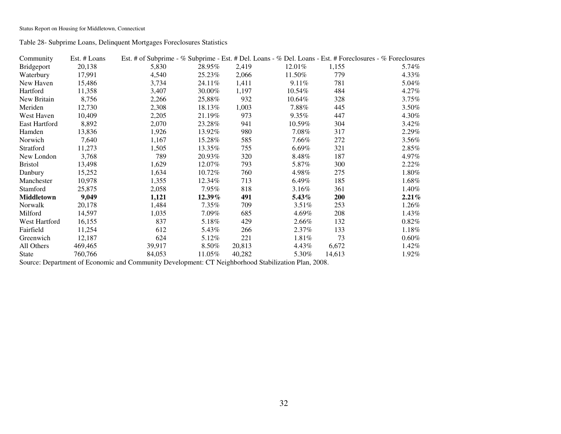Table 28- Subprime Loans, Delinquent Mortgages Foreclosures Statistics

| Community         | Est. # Loans |        |           |        |          | Est. # of Subprime - % Subprime - Est. # Del. Loans - % Del. Loans - Est. # Foreclosures - % Foreclosures |          |
|-------------------|--------------|--------|-----------|--------|----------|-----------------------------------------------------------------------------------------------------------|----------|
| Bridgeport        | 20,138       | 5,830  | 28.95%    | 2,419  | 12.01%   | 1,155                                                                                                     | 5.74%    |
| Waterbury         | 17,991       | 4,540  | 25.23%    | 2,066  | 11.50%   | 779                                                                                                       | 4.33%    |
| New Haven         | 15,486       | 3,734  | 24.11\%   | 1,411  | 9.11%    | 781                                                                                                       | 5.04%    |
| Hartford          | 11,358       | 3,407  | 30.00%    | 1,197  | 10.54%   | 484                                                                                                       | 4.27%    |
| New Britain       | 8,756        | 2,266  | 25,88%    | 932    | 10.64%   | 328                                                                                                       | 3.75%    |
| Meriden           | 12,730       | 2,308  | 18.13%    | 1,003  | $7.88\%$ | 445                                                                                                       | 3.50%    |
| West Haven        | 10,409       | 2,205  | 21.19%    | 973    | $9.35\%$ | 447                                                                                                       | 4.30%    |
| East Hartford     | 8,892        | 2,070  | 23.28%    | 941    | 10.59%   | 304                                                                                                       | 3.42%    |
| Hamden            | 13,836       | 1,926  | 13.92%    | 980    | $7.08\%$ | 317                                                                                                       | 2.29%    |
| Norwich           | 7,640        | 1,167  | 15.28%    | 585    | 7.66%    | 272                                                                                                       | 3.56%    |
| Stratford         | 11,273       | 1,505  | 13.35%    | 755    | $6.69\%$ | 321                                                                                                       | 2.85%    |
| New London        | 3,768        | 789    | 20.93%    | 320    | 8.48%    | 187                                                                                                       | 4.97%    |
| <b>Bristol</b>    | 13,498       | 1,629  | 12.07%    | 793    | 5.87%    | 300                                                                                                       | 2.22%    |
| Danbury           | 15,252       | 1,634  | 10.72%    | 760    | 4.98%    | 275                                                                                                       | 1.80%    |
| Manchester        | 10,978       | 1,355  | 12.34%    | 713    | $6.49\%$ | 185                                                                                                       | 1.68%    |
| Stamford          | 25,875       | 2,058  | 7.95%     | 818    | $3.16\%$ | 361                                                                                                       | 1.40%    |
| <b>Middletown</b> | 9,049        | 1,121  | $12.39\%$ | 491    | 5.43%    | <b>200</b>                                                                                                | 2.21%    |
| Norwalk           | 20,178       | 1,484  | $7.35\%$  | 709    | $3.51\%$ | 253                                                                                                       | 1.26%    |
| Milford           | 14,597       | 1,035  | 7.09%     | 685    | 4.69%    | 208                                                                                                       | 1.43%    |
| West Hartford     | 16,155       | 837    | 5.18%     | 429    | 2.66%    | 132                                                                                                       | $0.82\%$ |
| Fairfield         | 11,254       | 612    | 5.43%     | 266    | $2.37\%$ | 133                                                                                                       | 1.18%    |
| Greenwich         | 12,187       | 624    | 5.12%     | 221    | 1.81%    | 73                                                                                                        | $0.60\%$ |
| All Others        | 469,465      | 39,917 | $8.50\%$  | 20,813 | 4.43%    | 6,672                                                                                                     | 1.42%    |
| <b>State</b>      | 760,766      | 84,053 | 11.05%    | 40,282 | 5.30%    | 14,613                                                                                                    | 1.92%    |

Source: Department of Economic and Community Development: CT Neighborhood Stabilization Plan, 2008.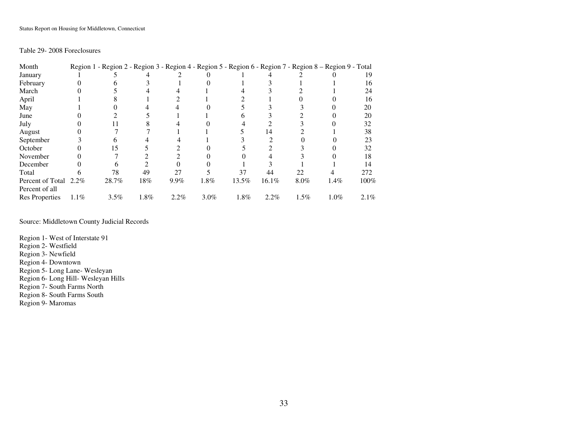### Table 29- 2008 Foreclosures

| Month                 |      |       |      |      |         |       |          |      | Region 1 - Region 2 - Region 3 - Region 4 - Region 5 - Region 6 - Region 7 - Region 8 - Region 9 - Total |         |
|-----------------------|------|-------|------|------|---------|-------|----------|------|----------------------------------------------------------------------------------------------------------|---------|
| January               |      |       |      |      |         |       |          |      |                                                                                                          |         |
| February              |      |       |      |      |         |       |          |      |                                                                                                          | 16      |
| March                 |      |       |      |      |         |       |          |      |                                                                                                          | 24      |
| April                 |      |       |      |      |         |       |          |      |                                                                                                          | 16      |
| May                   |      |       |      |      |         |       |          |      |                                                                                                          | 20      |
| June                  |      |       |      |      |         |       |          |      |                                                                                                          | 20      |
| July                  |      |       |      |      |         |       |          |      |                                                                                                          | 32      |
| August                |      |       |      |      |         |       | 14       |      |                                                                                                          | 38      |
| September             |      |       |      |      |         |       |          |      |                                                                                                          | 23      |
| October               |      | 15    |      |      |         |       |          |      |                                                                                                          | 32      |
| November              |      |       |      |      |         |       |          |      |                                                                                                          | 18      |
| December              |      |       |      |      |         |       |          |      |                                                                                                          | 14      |
| Total                 |      | 78    | 49   | 27   |         | 37    | 44       | 22   |                                                                                                          | 272     |
| Percent of Total 2.2% |      | 28.7% | 18%  | 9.9% | $1.8\%$ | 13.5% | $16.1\%$ | 8.0% | $1.4\%$                                                                                                  | 100%    |
| Percent of all        |      |       |      |      |         |       |          |      |                                                                                                          |         |
| <b>Res Properties</b> | 1.1% | 3.5%  | 1.8% | 2.2% | $3.0\%$ | 1.8%  | 2.2%     | 1.5% | 1.0%                                                                                                     | $2.1\%$ |

Source: Middletown County Judicial Records

Region 1- West of Interstate 91 Region 2- Westfield Region 3- Newfield Region 4- Downtown Region 5- Long Lane- Wesleyan Region 6- Long Hill- Wesleyan Hills Region 7- South Farms North Region 8- South Farms South Region 9- Maromas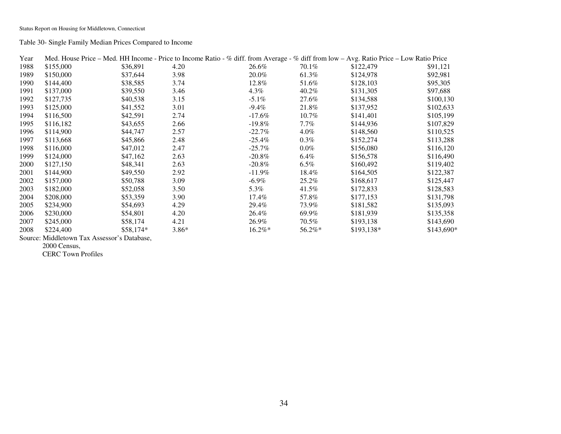Table 30- Single Family Median Prices Compared to Income

| Year |           |           |         |           |           | Med. House Price – Med. HH Income - Price to Income Ratio - % diff. from Average - % diff from low – Avg. Ratio Price – Low Ratio Price |             |
|------|-----------|-----------|---------|-----------|-----------|-----------------------------------------------------------------------------------------------------------------------------------------|-------------|
| 1988 | \$155,000 | \$36,891  | 4.20    | 26.6%     | 70.1%     | \$122,479                                                                                                                               | \$91,121    |
| 1989 | \$150,000 | \$37,644  | 3.98    | 20.0%     | 61.3%     | \$124,978                                                                                                                               | \$92,981    |
| 1990 | \$144,400 | \$38,585  | 3.74    | 12.8%     | 51.6%     | \$128,103                                                                                                                               | \$95,305    |
| 1991 | \$137,000 | \$39,550  | 3.46    | $4.3\%$   | 40.2%     | \$131,305                                                                                                                               | \$97,688    |
| 1992 | \$127,735 | \$40,538  | 3.15    | $-5.1\%$  | 27.6%     | \$134,588                                                                                                                               | \$100,130   |
| 1993 | \$125,000 | \$41,552  | 3.01    | $-9.4\%$  | 21.8%     | \$137,952                                                                                                                               | \$102,633   |
| 1994 | \$116,500 | \$42,591  | 2.74    | $-17.6\%$ | $10.7\%$  | \$141,401                                                                                                                               | \$105,199   |
| 1995 | \$116,182 | \$43,655  | 2.66    | $-19.8\%$ | $7.7\%$   | \$144,936                                                                                                                               | \$107,829   |
| 1996 | \$114,900 | \$44,747  | 2.57    | $-22.7\%$ | $4.0\%$   | \$148,560                                                                                                                               | \$110,525   |
| 1997 | \$113,668 | \$45,866  | 2.48    | $-25.4\%$ | $0.3\%$   | \$152,274                                                                                                                               | \$113,288   |
| 1998 | \$116,000 | \$47,012  | 2.47    | $-25.7\%$ | $0.0\%$   | \$156,080                                                                                                                               | \$116,120   |
| 1999 | \$124,000 | \$47,162  | 2.63    | $-20.8\%$ | $6.4\%$   | \$156,578                                                                                                                               | \$116,490   |
| 2000 | \$127,150 | \$48,341  | 2.63    | $-20.8\%$ | $6.5\%$   | \$160,492                                                                                                                               | \$119,402   |
| 2001 | \$144,900 | \$49,550  | 2.92    | $-11.9\%$ | 18.4%     | \$164,505                                                                                                                               | \$122,387   |
| 2002 | \$157,000 | \$50,788  | 3.09    | $-6.9\%$  | 25.2%     | \$168,617                                                                                                                               | \$125,447   |
| 2003 | \$182,000 | \$52,058  | 3.50    | 5.3%      | 41.5%     | \$172,833                                                                                                                               | \$128,583   |
| 2004 | \$208,000 | \$53,359  | 3.90    | 17.4%     | 57.8%     | \$177,153                                                                                                                               | \$131,798   |
| 2005 | \$234,900 | \$54,693  | 4.29    | 29.4%     | 73.9%     | \$181,582                                                                                                                               | \$135,093   |
| 2006 | \$230,000 | \$54,801  | 4.20    | 26.4%     | 69.9%     | \$181,939                                                                                                                               | \$135,358   |
| 2007 | \$245,000 | \$58,174  | 4.21    | 26.9%     | 70.5%     | \$193,138                                                                                                                               | \$143,690   |
| 2008 | \$224,400 | \$58,174* | $3.86*$ | $16.2\%*$ | $56.2\%*$ | $$193,138*$                                                                                                                             | $$143,690*$ |

Source: Middletown Tax Assessor's Database,

2000 Census,

CERC Town Profiles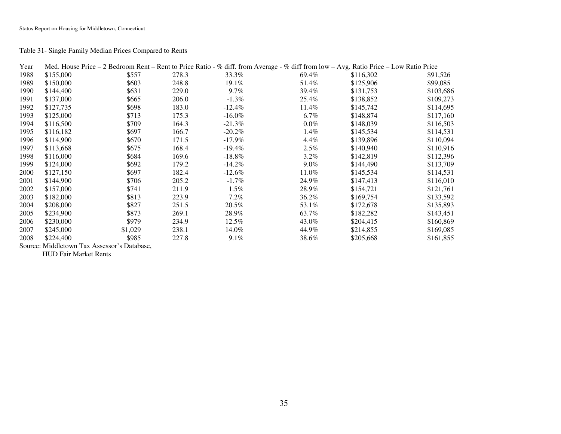### Table 31- Single Family Median Prices Compared to Rents

| Year |           |         |       |           | Med. House Price - 2 Bedroom Rent - Rent to Price Ratio - % diff. from Average - % diff from low - Avg. Ratio Price - Low Ratio Price |           |           |
|------|-----------|---------|-------|-----------|---------------------------------------------------------------------------------------------------------------------------------------|-----------|-----------|
| 1988 | \$155,000 | \$557   | 278.3 | 33.3%     | 69.4%                                                                                                                                 | \$116,302 | \$91,526  |
| 1989 | \$150,000 | \$603   | 248.8 | 19.1%     | 51.4%                                                                                                                                 | \$125,906 | \$99,085  |
| 1990 | \$144,400 | \$631   | 229.0 | $9.7\%$   | 39.4%                                                                                                                                 | \$131,753 | \$103,686 |
| 1991 | \$137,000 | \$665   | 206.0 | $-1.3\%$  | 25.4%                                                                                                                                 | \$138,852 | \$109,273 |
| 1992 | \$127,735 | \$698   | 183.0 | $-12.4\%$ | 11.4%                                                                                                                                 | \$145,742 | \$114,695 |
| 1993 | \$125,000 | \$713   | 175.3 | $-16.0\%$ | $6.7\%$                                                                                                                               | \$148,874 | \$117,160 |
| 1994 | \$116,500 | \$709   | 164.3 | $-21.3\%$ | $0.0\%$                                                                                                                               | \$148,039 | \$116,503 |
| 1995 | \$116,182 | \$697   | 166.7 | $-20.2\%$ | $1.4\%$                                                                                                                               | \$145,534 | \$114,531 |
| 1996 | \$114,900 | \$670   | 171.5 | $-17.9\%$ | $4.4\%$                                                                                                                               | \$139,896 | \$110,094 |
| 1997 | \$113,668 | \$675   | 168.4 | $-19.4\%$ | $2.5\%$                                                                                                                               | \$140,940 | \$110,916 |
| 1998 | \$116,000 | \$684   | 169.6 | $-18.8\%$ | $3.2\%$                                                                                                                               | \$142,819 | \$112,396 |
| 1999 | \$124,000 | \$692   | 179.2 | $-14.2\%$ | $9.0\%$                                                                                                                               | \$144,490 | \$113,709 |
| 2000 | \$127,150 | \$697   | 182.4 | $-12.6\%$ | 11.0%                                                                                                                                 | \$145,534 | \$114,531 |
| 2001 | \$144,900 | \$706   | 205.2 | $-1.7\%$  | 24.9%                                                                                                                                 | \$147,413 | \$116,010 |
| 2002 | \$157,000 | \$741   | 211.9 | 1.5%      | 28.9%                                                                                                                                 | \$154,721 | \$121,761 |
| 2003 | \$182,000 | \$813   | 223.9 | $7.2\%$   | 36.2%                                                                                                                                 | \$169,754 | \$133,592 |
| 2004 | \$208,000 | \$827   | 251.5 | 20.5%     | 53.1%                                                                                                                                 | \$172,678 | \$135,893 |
| 2005 | \$234,900 | \$873   | 269.1 | 28.9%     | 63.7%                                                                                                                                 | \$182,282 | \$143,451 |
| 2006 | \$230,000 | \$979   | 234.9 | 12.5%     | 43.0%                                                                                                                                 | \$204,415 | \$160,869 |
| 2007 | \$245,000 | \$1,029 | 238.1 | 14.0%     | 44.9%                                                                                                                                 | \$214,855 | \$169,085 |
| 2008 | \$224,400 | \$985   | 227.8 | $9.1\%$   | 38.6%                                                                                                                                 | \$205,668 | \$161,855 |

Source: Middletown Tax Assessor's Database,

HUD Fair Market Rents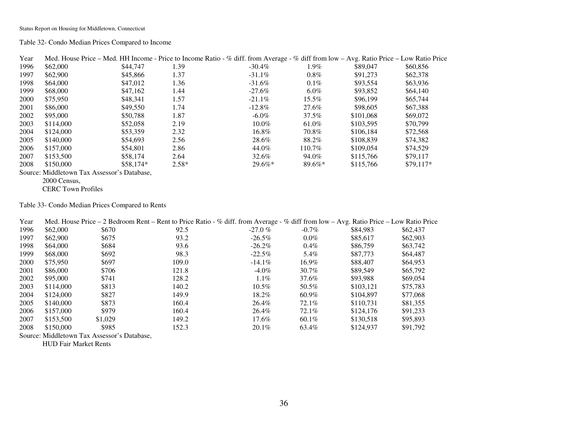Table 32- Condo Median Prices Compared to Income

| Year |                                                                               |            |         | Med. House Price – Med. HH Income - Price to Income Ratio - % diff. from Average - % diff from low – Avg. Ratio Price – Low Ratio Price |           |           |            |
|------|-------------------------------------------------------------------------------|------------|---------|-----------------------------------------------------------------------------------------------------------------------------------------|-----------|-----------|------------|
| 1996 | \$62,000                                                                      | \$44,747   | 1.39    | $-30.4\%$                                                                                                                               | $1.9\%$   | \$89,047  | \$60,856   |
| 1997 | \$62,900                                                                      | \$45,866   | 1.37    | $-31.1\%$                                                                                                                               | $0.8\%$   | \$91,273  | \$62,378   |
| 1998 | \$64,000                                                                      | \$47,012   | 1.36    | $-31.6\%$                                                                                                                               | $0.1\%$   | \$93,554  | \$63,936   |
| 1999 | \$68,000                                                                      | \$47,162   | 1.44    | $-27.6\%$                                                                                                                               | $6.0\%$   | \$93,852  | \$64,140   |
| 2000 | \$75,950                                                                      | \$48,341   | 1.57    | $-21.1\%$                                                                                                                               | $15.5\%$  | \$96,199  | \$65,744   |
| 2001 | \$86,000                                                                      | \$49,550   | 1.74    | $-12.8\%$                                                                                                                               | 27.6%     | \$98,605  | \$67,388   |
| 2002 | \$95,000                                                                      | \$50,788   | 1.87    | $-6.0\%$                                                                                                                                | 37.5%     | \$101,068 | \$69,072   |
| 2003 | \$114,000                                                                     | \$52,058   | 2.19    | $10.0\%$                                                                                                                                | 61.0%     | \$103,595 | \$70,799   |
| 2004 | \$124,000                                                                     | \$53,359   | 2.32    | 16.8%                                                                                                                                   | 70.8%     | \$106.184 | \$72,568   |
| 2005 | \$140,000                                                                     | \$54,693   | 2.56    | 28.6%                                                                                                                                   | 88.2%     | \$108.839 | \$74,382   |
| 2006 | \$157,000                                                                     | \$54,801   | 2.86    | 44.0%                                                                                                                                   | $110.7\%$ | \$109,054 | \$74,529   |
| 2007 | \$153,500                                                                     | \$58,174   | 2.64    | 32.6%                                                                                                                                   | 94.0%     | \$115,766 | \$79,117   |
| 2008 | \$150,000                                                                     | $$58.174*$ | $2.58*$ | $29.6\%*$                                                                                                                               | $89.6\%*$ | \$115,766 | $$79.117*$ |
|      | $\mathbf{r}$ and $\mathbf{r}$<br>$\alpha$ $\alpha$ $\alpha$ $\alpha$ $\alpha$ |            |         |                                                                                                                                         |           |           |            |

Source: Middletown Tax Assessor's Database,

2000 Census,

CERC Town Profiles

Table 33- Condo Median Prices Compared to Rents

| Year |                                             |         | Med. House Price $-2$ Bedroom Rent $-$ Rent to Price Ratio - % diff. from Average - % diff from low $-$ Avg. Ratio Price $-$ Low Ratio Price |            |          |           |          |
|------|---------------------------------------------|---------|----------------------------------------------------------------------------------------------------------------------------------------------|------------|----------|-----------|----------|
| 1996 | \$62,000                                    | \$670   | 92.5                                                                                                                                         | $-27.0 \%$ | $-0.7\%$ | \$84,983  | \$62,437 |
| 1997 | \$62,900                                    | \$675   | 93.2                                                                                                                                         | $-26.5\%$  | $0.0\%$  | \$85,617  | \$62,903 |
| 1998 | \$64,000                                    | \$684   | 93.6                                                                                                                                         | $-26.2\%$  | $0.4\%$  | \$86,759  | \$63,742 |
| 1999 | \$68,000                                    | \$692   | 98.3                                                                                                                                         | $-22.5\%$  | 5.4%     | \$87,773  | \$64,487 |
| 2000 | \$75,950                                    | \$697   | 109.0                                                                                                                                        | $-14.1\%$  | $16.9\%$ | \$88,407  | \$64,953 |
| 2001 | \$86,000                                    | \$706   | 121.8                                                                                                                                        | $-4.0\%$   | 30.7%    | \$89,549  | \$65,792 |
| 2002 | \$95,000                                    | \$741   | 128.2                                                                                                                                        | $1.1\%$    | 37.6%    | \$93,988  | \$69,054 |
| 2003 | \$114,000                                   | \$813   | 140.2                                                                                                                                        | $10.5\%$   | 50.5%    | \$103.121 | \$75.783 |
| 2004 | \$124,000                                   | \$827   | 149.9                                                                                                                                        | $18.2\%$   | 60.9%    | \$104.897 | \$77,068 |
| 2005 | \$140,000                                   | \$873   | 160.4                                                                                                                                        | 26.4%      | 72.1%    | \$110.731 | \$81,355 |
| 2006 | \$157,000                                   | \$979   | 160.4                                                                                                                                        | 26.4%      | 72.1%    | \$124,176 | \$91,233 |
| 2007 | \$153,500                                   | \$1,029 | 149.2                                                                                                                                        | 17.6%      | 60.1%    | \$130.518 | \$95,893 |
| 2008 | \$150,000                                   | \$985   | 152.3                                                                                                                                        | 20.1%      | 63.4%    | \$124,937 | \$91,792 |
|      | Source: Middletown Tax Assessor's Database, |         |                                                                                                                                              |            |          |           |          |

HUD Fair Market Rents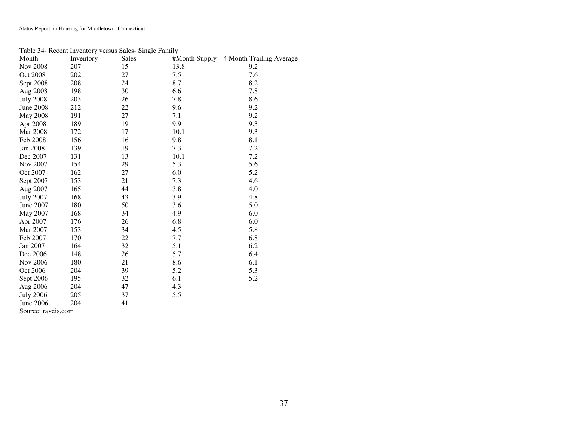#### Table 34- Recent Inventory versus Sales- Single Family

| Month                                            | Inventory | Sales |      | #Month Supply 4 Month Trailing Average |
|--------------------------------------------------|-----------|-------|------|----------------------------------------|
| <b>Nov 2008</b>                                  | 207       | 15    | 13.8 | 9.2                                    |
| Oct 2008                                         | 202       | 27    | 7.5  | 7.6                                    |
| Sept 2008                                        | 208       | 24    | 8.7  | 8.2                                    |
| Aug 2008                                         | 198       | 30    | 6.6  | 7.8                                    |
| <b>July 2008</b>                                 | 203       | 26    | 7.8  | 8.6                                    |
| <b>June 2008</b>                                 | 212       | 22    | 9.6  | 9.2                                    |
| <b>May 2008</b>                                  | 191       | 27    | 7.1  | 9.2                                    |
| Apr 2008                                         | 189       | 19    | 9.9  | 9.3                                    |
| <b>Mar 2008</b>                                  | 172       | 17    | 10.1 | 9.3                                    |
| Feb 2008                                         | 156       | 16    | 9.8  | 8.1                                    |
| Jan 2008                                         | 139       | 19    | 7.3  | 7.2                                    |
| Dec 2007                                         | 131       | 13    | 10.1 | 7.2                                    |
| Nov 2007                                         | 154       | 29    | 5.3  | 5.6                                    |
| Oct 2007                                         | 162       | 27    | 6.0  | 5.2                                    |
| Sept 2007                                        | 153       | 21    | 7.3  | 4.6                                    |
| Aug 2007                                         | 165       | 44    | 3.8  | 4.0                                    |
| <b>July 2007</b>                                 | 168       | 43    | 3.9  | 4.8                                    |
| June 2007                                        | 180       | 50    | 3.6  | 5.0                                    |
| May 2007                                         | 168       | 34    | 4.9  | 6.0                                    |
| Apr 2007                                         | 176       | 26    | 6.8  | 6.0                                    |
| Mar 2007                                         | 153       | 34    | 4.5  | 5.8                                    |
| Feb 2007                                         | 170       | 22    | 7.7  | 6.8                                    |
| Jan 2007                                         | 164       | 32    | 5.1  | 6.2                                    |
| Dec 2006                                         | 148       | 26    | 5.7  | 6.4                                    |
| <b>Nov 2006</b>                                  | 180       | 21    | 8.6  | 6.1                                    |
| Oct 2006                                         | 204       | 39    | 5.2  | 5.3                                    |
| Sept 2006                                        | 195       | 32    | 6.1  | 5.2                                    |
| Aug 2006                                         | 204       | 47    | 4.3  |                                        |
| <b>July 2006</b>                                 | 205       | 37    | 5.5  |                                        |
| <b>June 2006</b>                                 | 204       | 41    |      |                                        |
| $\mathcal{C}_{\Omega^{11} \Omega^0}$ reverse com |           |       |      |                                        |

Source: raveis.com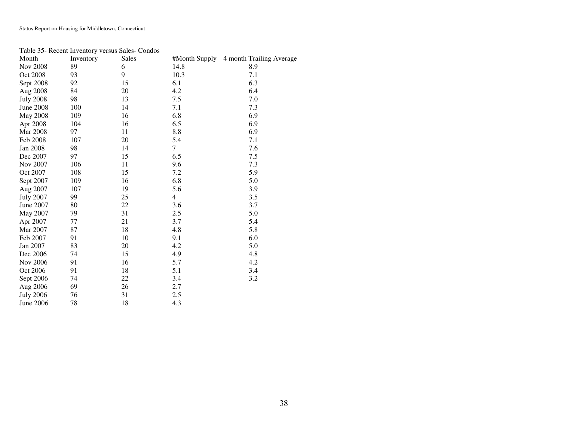### Table 35- Recent Inventory versus Sales- Condos

| Month            | Inventory | Sales | #Month Supply | 4 month Trailing Average |
|------------------|-----------|-------|---------------|--------------------------|
| Nov 2008         | 89        | 6     | 14.8          | 8.9                      |
| Oct 2008         | 93        | 9     | 10.3          | 7.1                      |
| Sept 2008        | 92        | 15    | 6.1           | 6.3                      |
| Aug 2008         | 84        | 20    | 4.2           | 6.4                      |
| <b>July 2008</b> | 98        | 13    | 7.5           | 7.0                      |
| June 2008        | 100       | 14    | 7.1           | 7.3                      |
| <b>May 2008</b>  | 109       | 16    | 6.8           | 6.9                      |
| Apr 2008         | 104       | 16    | 6.5           | 6.9                      |
| <b>Mar 2008</b>  | 97        | 11    | 8.8           | 6.9                      |
| Feb 2008         | 107       | 20    | 5.4           | 7.1                      |
| Jan 2008         | 98        | 14    | 7             | 7.6                      |
| Dec 2007         | 97        | 15    | 6.5           | 7.5                      |
| <b>Nov 2007</b>  | 106       | 11    | 9.6           | 7.3                      |
| Oct 2007         | 108       | 15    | 7.2           | 5.9                      |
| Sept 2007        | 109       | 16    | 6.8           | 5.0                      |
| Aug 2007         | 107       | 19    | 5.6           | 3.9                      |
| <b>July 2007</b> | 99        | 25    | 4             | 3.5                      |
| June 2007        | 80        | 22    | 3.6           | 3.7                      |
| May 2007         | 79        | 31    | 2.5           | 5.0                      |
| Apr 2007         | 77        | 21    | 3.7           | 5.4                      |
| Mar 2007         | 87        | 18    | 4.8           | 5.8                      |
| Feb 2007         | 91        | 10    | 9.1           | 6.0                      |
| Jan 2007         | 83        | 20    | 4.2           | 5.0                      |
| Dec 2006         | 74        | 15    | 4.9           | 4.8                      |
| Nov 2006         | 91        | 16    | 5.7           | 4.2                      |
| Oct 2006         | 91        | 18    | 5.1           | 3.4                      |
| Sept 2006        | 74        | 22    | 3.4           | 3.2                      |
| Aug 2006         | 69        | 26    | 2.7           |                          |
| <b>July 2006</b> | 76        | 31    | 2.5           |                          |
| June 2006        | 78        | 18    | 4.3           |                          |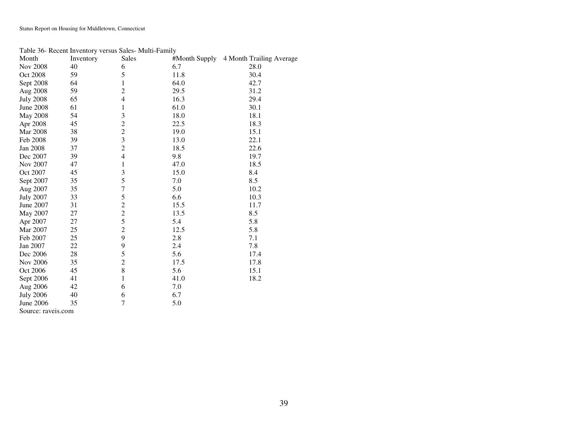### Table 36- Recent Inventory versus Sales- Multi-Family

| Month                                          | $\frac{1}{2}$<br>Inventory | Sales                   |      | #Month Supply 4 Month Trailing Average |
|------------------------------------------------|----------------------------|-------------------------|------|----------------------------------------|
| <b>Nov 2008</b>                                | 40                         | 6                       | 6.7  | 28.0                                   |
| Oct 2008                                       | 59                         | 5                       | 11.8 | 30.4                                   |
| Sept 2008                                      | 64                         | 1                       | 64.0 | 42.7                                   |
| Aug 2008                                       | 59                         | $\overline{c}$          | 29.5 | 31.2                                   |
| <b>July 2008</b>                               | 65                         | $\overline{4}$          | 16.3 | 29.4                                   |
| <b>June 2008</b>                               | 61                         | 1                       | 61.0 | 30.1                                   |
| May 2008                                       | 54                         | 3                       | 18.0 | 18.1                                   |
| Apr 2008                                       | 45                         | $\overline{c}$          | 22.5 | 18.3                                   |
| <b>Mar 2008</b>                                | 38                         | $\overline{c}$          | 19.0 | 15.1                                   |
| Feb 2008                                       | 39                         | $\overline{\mathbf{3}}$ | 13.0 | 22.1                                   |
| <b>Jan 2008</b>                                | 37                         | $\overline{c}$          | 18.5 | 22.6                                   |
| Dec 2007                                       | 39                         | $\overline{4}$          | 9.8  | 19.7                                   |
| Nov 2007                                       | 47                         | 1                       | 47.0 | 18.5                                   |
| Oct 2007                                       | 45                         | 3                       | 15.0 | 8.4                                    |
| Sept 2007                                      | 35                         | 5                       | 7.0  | 8.5                                    |
| Aug 2007                                       | 35                         | 7                       | 5.0  | 10.2                                   |
| <b>July 2007</b>                               | 33                         | 5                       | 6.6  | 10.3                                   |
| June 2007                                      | 31                         | $\overline{c}$          | 15.5 | 11.7                                   |
| May 2007                                       | 27                         | $\overline{c}$          | 13.5 | 8.5                                    |
| Apr 2007                                       | 27                         | 5                       | 5.4  | 5.8                                    |
| Mar 2007                                       | 25                         | $\overline{2}$          | 12.5 | 5.8                                    |
| Feb 2007                                       | 25                         | 9                       | 2.8  | 7.1                                    |
| Jan 2007                                       | 22                         | 9                       | 2.4  | 7.8                                    |
| Dec 2006                                       | 28                         | 5                       | 5.6  | 17.4                                   |
| Nov 2006                                       | 35                         | $\overline{c}$          | 17.5 | 17.8                                   |
| Oct 2006                                       | 45                         | 8                       | 5.6  | 15.1                                   |
| Sept 2006                                      | 41                         | 1                       | 41.0 | 18.2                                   |
| Aug 2006                                       | 42                         | 6                       | 7.0  |                                        |
| <b>July 2006</b>                               | 40                         | 6                       | 6.7  |                                        |
| June 2006                                      | 35                         | 7                       | 5.0  |                                        |
| $\mathcal{C}_{\text{anmonon}}$ <i>norm</i> and |                            |                         |      |                                        |

Source: raveis.com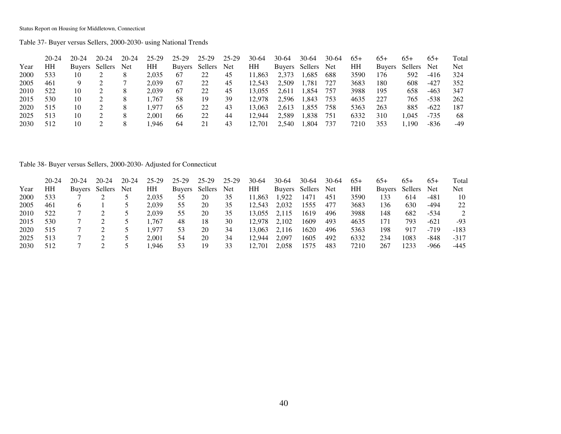Table 37- Buyer versus Sellers, 2000-2030- using National Trends

|      | $20 - 24$ | $20 - 24$     | $20 - 24$ | $20 - 24$ | 25-29 | 25-29         | 25-29       | 25-29 | $30-64$ | 30-64  | $30-64$ | 30-64 | $65+$ | 65+           | $65+$   | $65+$      | Total |
|------|-----------|---------------|-----------|-----------|-------|---------------|-------------|-------|---------|--------|---------|-------|-------|---------------|---------|------------|-------|
| Year | HH        | <b>Buvers</b> | Sellers   | Net       | HH    | <b>Buyers</b> | Sellers Net |       | HH      | Buyers | Sellers | Net   | HН    | <b>Buvers</b> | Sellers | <b>Net</b> | Net   |
| 2000 | 533       | 10            |           |           | 2,035 | 67            | 22          | 45    | 1.863   | 2,373  | .685    | 688   | 3590  | 176           | 592     | $-416$     | 324   |
| 2005 | 461       |               |           |           | 2.039 | 67            | 22          | 45    | 12.543  | 2,509  | 1,781   | 727   | 3683  | 180           | 608     | -427       | 352   |
| 2010 | 522       | 10            |           |           | 2,039 | 67            | 22          | 45    | 13.055  | 2.611  | 1,854   | 757   | 3988  | 195           | 658     | $-463$     | 347   |
| 2015 | 530       | 10            |           |           | .767  | 58            | 19          | 39    | 12.978  | 2,596  | 1,843   | 753   | 4635  | 227           | 765     | $-538$     | 262   |
| 2020 | 515       | 10            |           |           | .977  | 65            | 22          | 43    | 13.063  | 2.613  | 1,855   | 758   | 5363  | 263           | 885     | $-622$     | 187   |
| 2025 | 513       | 10            |           |           | 2.001 | 66            | 22          | 44    | 12.944  | 2,589  | 1,838   | 751   | 6332  | 310           | .045    | $-735$     | 68    |
| 2030 | 512       | 10            |           |           | .946  | 64            |             | 43    | 12.701  | 2.540  | .304    | 737   | 7210  | 353           | 1.190   | $-836$     | -49   |

Table 38- Buyer versus Sellers, 2000-2030- Adjusted for Connecticut

|      | 20-24 | 20-24         | $20-24$ | $20-24$    | 25-29 | 25-29         | 25-29   | 25-29 | 30-64  | 30-64 | 30-64          | $30-64$ | $65+$ | $65+$         | $65+$   | $65+$  | Total |
|------|-------|---------------|---------|------------|-------|---------------|---------|-------|--------|-------|----------------|---------|-------|---------------|---------|--------|-------|
| Year | HН    | <b>Buyers</b> | Sellers | <b>Net</b> | HH    | <b>Buyers</b> | Sellers | Net   | HH     |       | Buyers Sellers | Net     | HH    | <b>Buvers</b> | Sellers | Net    | Net   |
| 2000 | 533   |               |         |            | 2.035 | 55            | 20      | 35    | 11.863 | 1.922 | 1471           | 451     | 3590  | 133           | 614     | -481   | 10    |
| 2005 | 461   |               |         |            | 2,039 | 55            | 20      | 35    | 12.543 | 2.032 | 1555           | 477     | 3683  | 136           | 630     | -494   | 22    |
| 2010 | 522   |               |         |            | 2.039 | 55            | 20      | 35    | 3.055  | 2.115 | 1619           | 496     | 3988  | 148           | 682     | -534   |       |
| 2015 | 530   |               |         |            | .767  | 48            | 18      | 30    | 12.978 | 2.102 | 1609           | 493     | 4635  | 171           | 793     | $-621$ | $-93$ |
| 2020 | 515   |               |         |            | .977  | 53            | 20      | 34    | 13.063 | 2.116 | 1620           | 496     | 5363  | 198           | 917     | $-719$ | -183  |
| 2025 | 513   |               |         |            | 2.001 | 54            | 20      | 34    | 12.944 | 2.097 | 1605           | 492     | 6332  | 234           | 1083    | -848   | -317  |
| 2030 | 512   |               |         |            | .946  | 53            | 19      | 33    | 12,701 | 2,058 | 1575           | 483     | 7210  | 267           | 1233    | -966   | -445  |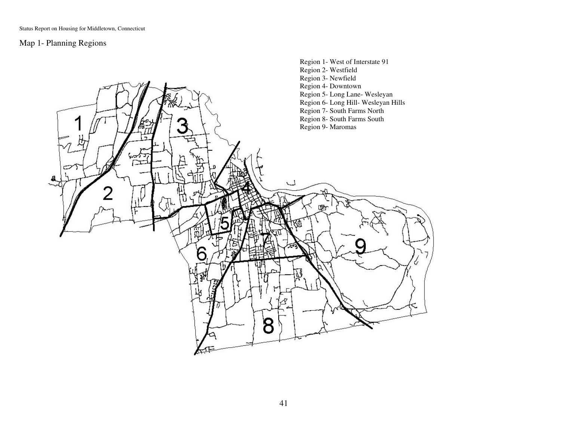# Map 1- Planning Regions